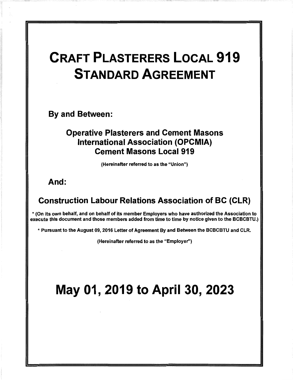# CRAFT PLASTERERS LOCAL 919 **STANDARD** AGREEMENT

By and Between:

## Operative Plasterers and Cement Masons International Association (OPCMIA} Cement Masons Local 919

(Hereinafter referred to as the "Union")

And:

# Construction Labour Relations Association of BC (CLR}

\* (On its own behalf, and on behalf of its member Employers who have authorized the Association to execute this document and those members added from time to time by notice given to the BCBCBTU.)

\* Pursuant to the August 09, 2016 Letter of Agreement By and Between the BCBCBTU and CLR.

(Hereinafter referred to as the "Employer")

# May 01, 2019 to April 30, 2023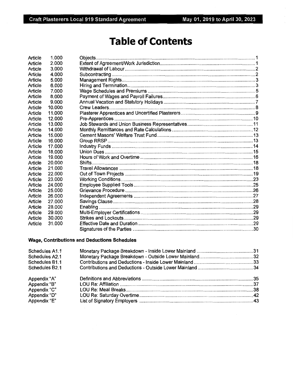# **Table of Contents**

| Article | 1.000  |                 |  |
|---------|--------|-----------------|--|
| Article | 2.000  |                 |  |
| Article | 3.000  |                 |  |
| Article | 4.000  |                 |  |
| Article | 5.000  |                 |  |
| Article | 6.000  |                 |  |
| Article | 7.000  |                 |  |
| Article | 8.000  |                 |  |
| Article | 9.000  |                 |  |
| Article | 10.000 |                 |  |
| Article | 11.000 |                 |  |
| Article | 12.000 | Pre-Apprentices |  |
| Article | 13.000 |                 |  |
| Article | 14.000 |                 |  |
| Article | 15.000 |                 |  |
| Article | 16.000 |                 |  |
| Article | 17.000 |                 |  |
| Article | 18.000 |                 |  |
| Article | 19.000 |                 |  |
| Article | 20,000 |                 |  |
| Article | 21.000 |                 |  |
| Article | 22,000 |                 |  |
| Article | 23.000 |                 |  |
| Article | 24,000 |                 |  |
| Article | 25,000 |                 |  |
| Article | 26,000 |                 |  |
| Article | 27.000 |                 |  |
| Article | 28,000 |                 |  |
| Article | 29,000 |                 |  |
| Article | 30.000 |                 |  |
| Article | 31.000 |                 |  |
|         |        |                 |  |

#### Wage, Contributions and Deductions Schedules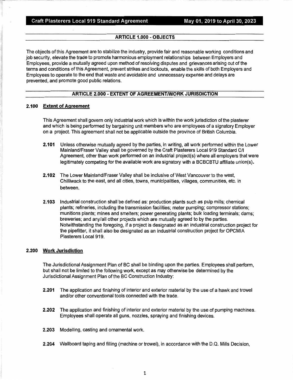#### **ARTICLE 1.000** - **OBJECTS**

The objects of this Agreement are to stabilize the industry, provide fair and reasonable working conditions and job security, elevate the trade to promote harmonious employment relationships between Employers and Employees, provide a mutually agreed upon method of resolving disputes and grievances arising out of the terms and conditions of this Agreement, prevent strikes and lockouts, enable the skills of both Employers and Employees to operate to the end that waste and avoidable and unnecessary expense and delays are prevented, and promote good public relations.

#### **ARTICLE 2.000** - **EXTENT OF AGREEMENT/WORK JURISDICTION**

#### **2.100 Extent of Agreement**

This Agreement shall govern only industrial work which is within the work jurisdiction of the plasterer and which is being performed by bargaining unit members who are employees of a signatory Employer on a project. This agreement shall not be applicable outside the province of British Columbia.

- **2.101** Unless otherwise mutually agreed by the parties, in writing, all work performed within the Lower Mainland/Fraser Valley shall be governed by the Craft Plasterers Local 919 Standard C/1 Agreement, other than work performed on an industrial project(s) where all employers that were legitimately competing for the available work are signatory with a BCBCBTU affiliate union(s).
- **2.102** The Lower Mainland/Fraser Valley shall be inclusive of West Vancouver to the west, Chilliwack to the east, and all cities, towns, municipalities, villages, communities, etc. in between.
- **2.103** Industrial construction shall be defined as: production plants such as pulp mills; chemical plants; refineries, including the transmission facilities; meter pumping; compressor stations; munitions plants; mines and smelters; power generating plants; bulk loading terminals; dams; breweries; and any/all other projects which are mutually agreed to by the parties. Notwithstanding the foregoing, if a project is designated as an industrial construction project for the pipefitter, it shall also be designated as an industrial construction project for OPCMIA Plasterers Local 919.

#### **2.200 Work Jurisdiction**

The Jurisdictional Assignment Plan of BC shall be binding upon the parties. Employees shall perform, but shall not be limited to the following work, except as may otherwise be determined by the Jurisdictional Assignment Plan of the BC Construction Industry:

- **2.201** The application and finishing of interior and exterior material by the use of a hawk and trowel and/or other conventional tools connected with the trade.
- **2.202** The application and finishing of interior and exterior material by the use of pumping machines. Employees shall operate all guns, nozzles, spraying and finishing devices.
- **2.203** Modelling, casting and ornamental work.
- **2.204** Wallboard taping and filling (machine or trowel), in accordance with the D.Q. Mills Decision,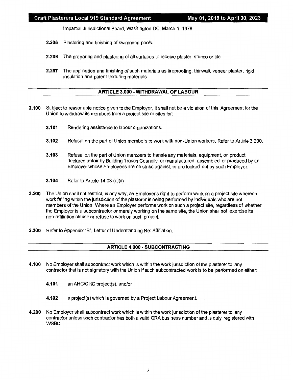Impartial Jurisdictional Board, Washington DC, March 1, 1978.

- **2.205** Plastering and finishing of swimming pools.
- **2.206** The preparing and plastering of all surfaces to receive plaster, stucco or tile.
- **2.207** The application and finishing of such materials as fireproofing, thinwall, veneer plaster, rigid insulation and patent texturing materials.

#### **ARTICLE 3.000** - **WITHDRAWAL OF LABOUR**

- **3.100** Subject to reasonable notice given to the Employer, it shall not be a violation of this Agreement for the Union to withdraw its members from a project site or sites for:
	- **3.101** Rendering assistance to labour organizations.
	- **3.102** Refusal on the part of Union members to work with non-Union workers. Refer to Article 3.200.
	- **3.103** Refusal on the part of Union members to handle any materials, equipment, or product declared unfair by Building Trades Councils, or manufactured, assembled or produced by an Employer whose Employees are on strike against, or are locked out by such Employer.
	- **3.104** Refer to Article 14.03 (c)(ii)
- **3.200** The Union shall not restrict, in any way, an Employer's right to perform work on a project site whereon work falling within the jurisdiction of the plasterer is being performed by individuals who are not members of the Union. Where an Employer performs work on such a project site, regardless of whether the Employer is a subcontractor or merely working on the same site, the Union shall not exercise its non-affiliation clause or refuse to work on such project.
- **3.300** Refer to Appendix "B", Letter of Understanding Re: Affiliation.

#### **ARTICLE 4.000** - **SUBCONTRACTING**

- **4.100** No Employer shall subcontract work which is within the work jurisdiction of the plasterer to any contractor that is not signatory with the Union if such subcontracted work is to be performed on either:
	- **4.101** an AHC/CHC project(s), and/or
	- **4.102** a project(s) which is governed by a Project Labour Agreement.
- **4.200** No Employer shall subcontract work which is within the work jurisdiction of the plasterer to any contractor unless such contractor has both a valid CRA business number and is duly registered with WSBC.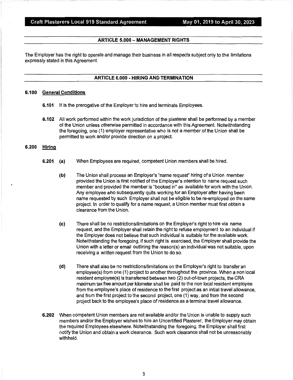#### **ARTICLE 5.000** - **MANAGEMENT RIGHTS**

The Employer has the right to operate and manage their business in all respects subject only to the limitations expressly stated in this Agreement.

#### **ARTICLE 6.000** - **HIRING AND TERMINATION**

#### **6.100 General Conditions**

- **6.101** It is the prerogative of the Employer to hire and terminate Employees.
- **6.102** All work performed within the work jurisdiction of the plasterer shall be performed by a member of the Union unless otherwise permitted in accordance with this Agreement. Notwithstanding the foregoing, one (1) employer representative who is not a member of the Union shall be permitted to work and/or provide direction on a project.

#### **6.200 Hiring**

- **6.201 {a)**  When Employees are required, competent Union members shall be hired.
	- **{b)**  The Union shall process an Employer's "name request" hiring of a Union member provided the Union is first notified of the Employer's intention to name request such member and provided the member is "booked in" as available for work with the Union. Any employee who subsequently quits working for an Employer after having been name requested by such Employer shall not be eligible to be re-employed on the same project. In order to qualify for a name request, a Union member must first obtain a clearance from the Union.
	- {c) There shall be no restrictions/limitations on the Employer's right to hire via name request, and the Employer shall retain the right to refuse employment to an individual if the Employer does not believe that such individual is suitable for the available work. Notwithstanding the foregoing, if such right is exercised, the Employer shall provide the Union with a letter or email outlining the reason(s} an individual was not suitable, upon receiving a written request from the Union to do so.
	- {d) There shall also be no restrictions/limitations on the Employer's right to transfer an employee(s) from one (1) project to another throughout the province. When a non local resident employee(s} is transferred between two (2) out-of-town projects, the CRA maximum tax free amount per kilometer shall be paid to the non local resident employee from the employee's place of residence to the first project as an initial travel allowance, and from the first project to the second project, one (1) way, and from the second project back to the employee's place of residence as a terminal travel allowance.
- **6.202** When competent Union members are not available and/or the Union is unable to supply such members and/or the Employer wishes to hire an Uncertified Plasterer, the Employer may obtain the required Employees elsewhere. Notwithstanding the foregoing, the Employer shall first notify the Union and obtain a work clearance. Such work clearance shall not be unreasonably withheld.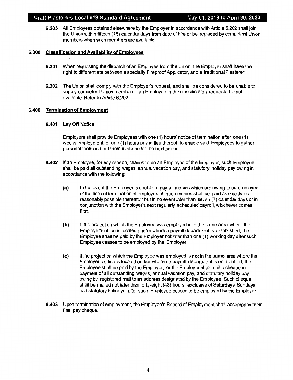**6.203** All Employees obtained elsewhere by the Employer in accordance with Article 6.202 shall join the Union within fifteen ( 15) calendar days from date of hire or be replaced by competent Union members when such members are available.

#### **6.300 Classification and Availability of Employees**

- **6.301** When requesting the dispatch of an Employee from the Union, the Employer shall have the right to differentiate between a specialty Fireproof Applicator, and a traditional Plasterer.
- **6.302** The Union shall comply with the Employer's request, and shall be considered to be unable to supply competent Union members if an Employee in the classification requested is not available. Refer to Article 6.202.

#### **6.400 Termination of Employment**

#### **6.401 Lay Off Notice**

Employers shall provide Employees with one (1) hours' notice of termination after one (1) weeks employment, or one (1) hours pay in lieu thereof, to enable said Employees to gather personal tools and put them in shape for the next project.

- **6.402** If an Employee, for any reason, ceases to be an Employee of the Employer, such Employee shall be paid all outstanding wages, annual vacation pay, and statutory holiday pay owing in accordance with the following:
	- **(a)** In the event the Employer is unable to pay all monies which are owing to an employee at the time of termination of employment, such monies shall be paid as quickly as reasonably possible thereafter but in no event later than seven (7) calendar days or in conjunction with the Employer's next regularly scheduled payroll, whichever comes first.
	- **(b)** If the project on which the Employee was employed is in the same area where the Employer's office is located and/or where a payroll department is established, the Employee shall be paid by the Employer not later than one (1) working day after such Employee ceases to be employed by the Employer.
	- **(c)** If the project on which the Employee was employed is not in the same area where the Employer's office is located and/or where no payroll department is established, the Employee shall be paid by the Employer, or the Employer shall mail a cheque in payment of all outstanding wages, annual vacation pay, and statutory holiday pay owing by registered mail to an address designated by the Employee. Such cheque shall be mailed not later than forty-eight (48) hours, exclusive of Saturdays, Sundays, and statutory holidays, after such Employee ceases to be employed by the Employer.
- **6.403** Upon termination of employment, the Employee's Record of Employment shall accompany their final pay cheque.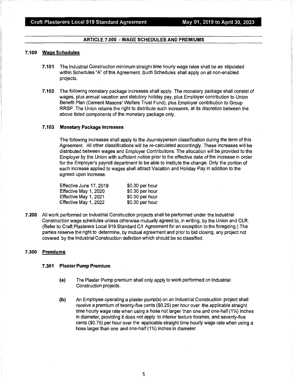#### **ARTICLE 7.000** - **WAGE SCHEDULES AND PREMIUMS**

#### **7.100 WageSchedules**

- **7.101** The Industrial Construction minimum straight time hourly wage rates shall be as stipulated within Schedules "A" of this Agreement. Such Schedules shall apply on all non-enabled projects.
- **7.102** The following monetary package increases shall apply. The monetary package shall consist of wages, plus annual vacation and statutory holiday pay, plus Employer contribution to Union Benefit Plan (Cement Masons' Welfare Trust Fund), plus Employer contribution to Group RRSP. The Union retains the right to distribute such increases, at its discretion between the above listed components of the monetary package only.

#### **7 .103 Monetary Package Increases**

The following increases shall apply to the Journeyperson classification during the term of this Agreement. All other classifications will be re-calculated accordingly. These increases will be distributed between wages and Employer Contributions. The allocation will be provided to the Employer by the Union with sufficient notice prior to the effective date of the increase in order for the Employer's payroll department to be able to institute the change. Only the portion of each increase applied to wages shall attract Vacation and Holiday Pay in addition to the agreed upon increase.

| Effective June 17, 2019 | \$0.30 per hour |
|-------------------------|-----------------|
| Effective May 1, 2020   | \$0.30 per hour |
| Effective May 1, 2021   | \$0.30 per hour |
| Effective May 1, 2022   | \$0.30 per hour |

**7.200** All work performed on Industrial Construction projects shall be performed under the Industrial Construction wage schedules unless otherwise mutually agreed to, in writing, by the Union and CLR. (Refer to Craft Plasterers Local 919 Standard C/1 Agreement for an exception to the foregoing.) The parties reserve the right to determine, by mutual agreement and prior to bid closing, any project not covered by the Industrial Construction definition which should be so classified.

#### **7.300 Premiums**

#### **7 .301 Plaster Pump Premium**

- **(a)** The Plaster Pump premium shall only apply to work performed on Industrial Construction projects.
- **(b)** An Employee operating a plaster pump(s) on an Industrial Construction project shall receive a premium of twenty-five cents (\$0.25) per hour over the applicable straight time hourly wage rate when using a hose not larger than one and one-half (1½) inches in diameter, providing it does not apply to interior texture finishes, and seventy-five cents (\$0. 75) per hour over the applicable straight time hourly wage rate when using a hose larger than one and one-half (1<sup>1</sup>%) inches in diameter.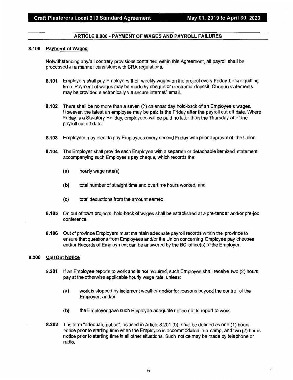#### **ARTICLE 8.000 - PAYMENT OF WAGES AND PAYROLL FAILURES**

#### **8.100 Payment of Wages**

Notwithstanding any/all contrary provisions contained within this Agreement, all payroll shall be processed in a manner consistent with CRA regulations.

- **8.101** Employers shall pay Employees their weekly wages on the project every Friday before quitting time. Payment of wages may be made by cheque or electronic deposit. Cheque statements may be provided electronically via secure internet/ email.
- **8.102** There shall be no more than a seven (7) calendar day hold-back of an Employee's wages. However, the latest an employee may be paid is the Friday after the payroll cut off date. Where Friday is a Statutory Holiday, employees will be paid no later than the Thursday after the payroll cut off date.
- **8.103** Employers may elect to pay Employees every second Friday with prior approval of the Union.
- **8.104** The Employer shall provide each Employee with a separate or detachable itemized statement accompanying such Employee's pay cheque, which records the:
	- **(a)** hourly wage rate(s),
	- **(b)** total number of straight time and overtime hours worked, and
	- **(c)** total deductions from the amount earned.
- **8.105** On out of town projects, hold-back of wages shall be established at a pre-tender and/or pre-job conference.
- **8.106** Out of province Employers must maintain adequate payroll records within the province to ensure that questions from Employees and/or the Union concerning Employee pay cheques and/or Records of Employment can be answered by the BC office(s) of the Employer.

#### **8.200 Call Out Notice**

- **8.201** If an Employee reports to work and is not required, such Employee shall receive two (2) hours pay at the otherwise applicable hourly wage rate, unless:
	- **(a)** work is stopped by inclement weather and/or for reasons beyond the control of the Employer, and/or
	- **(b)** the Employer gave such Employee adequate notice not to report to work.
- **8.202** The term "adequate notice", as used in Article 8.201 (b), shall be defined as one (1) hours notice prior to starting time when the Employee is accommodated in a camp, and two (2) hours notice prior to starting time in all other situations. Such notice may be made by telephone or radio.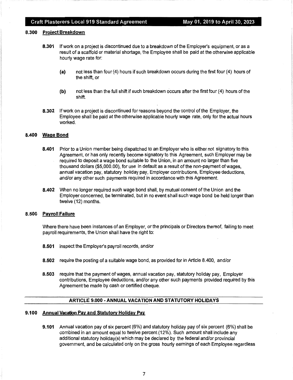#### Craft Plasterers Local 919 Standard Agreement May 01, 2019 to April 30, 2023

#### **8.300 Project Breakdown**

- **8.301** If work on a project is discontinued due to a breakdown of the Employer's equipment, or as a result of a scaffold or material shortage, the Employee shall be paid at the otherwise applicable hourly wage rate for:
	- **(a)** not less than four (4) hours if such breakdown occurs during the first four (4) hours of the shift, or
	- **(b)** not less than the full shift if such breakdown occurs after the first four (4) hours of the shift.
- **8.302** If work on a project is discontinued for reasons beyond the control of the Employer, the Employee shall be paid at the otherwise applicable hourly wage rate, only for the actual hours worked.

#### **8.400 Wage Bond**

- **8.401** Prior to a Union member being dispatched to an Employer who is either not signatory to this Agreement, or has only recently become signatory to this Agreement, such Employer may be required to deposit a wage bond suitable to the Union, in an amount no larger than five thousand dollars (\$5,000.00), for use in default as a result of the non-payment of wages, annual vacation pay, statutory holiday pay, Employer contributions, Employee deductions, and/or any other such payments required in accordance with this Agreement.
- **8.402** When no longer required such wage bond shall, by mutual consent of the Union and the Employer concerned, be terminated, but in no event shall such wage bond be held longer than twelve (12) months.

#### **8.500 Payroll Failure**

Where there have been instances of an Employer, or the principals or Directors thereof, failing to meet payroll requirements, the Union shall have the right to:

- **8.501** inspect the Employer's payroll records, and/or
- **8.502** require the posting of a suitable wage bond, as provided for in Article 8.400, and/or
- **8.503** require that the payment of wages, annual vacation pay, statutory holiday pay, Employer contributions, Employee deductions, and/or any other such payments provided required by this Agreement be made by cash or certified cheque.

#### **ARTICLE 9.000-ANNUAL VACATION AND STATUTORY HOLIDAYS**

#### **9.100 Annual Vacation Pay and Statutory Holiday Pay**

**9.101** Annual vacation pay of six percent (6%) and statutory holiday pay of six percent (6%) shall be combined in an amount equal to twelve percent (12%). Such amount shall include any additional statutory holiday(s) which may be declared by the federal and/or provincial government, and be calculated only on the gross hourly earnings of each Employee regardless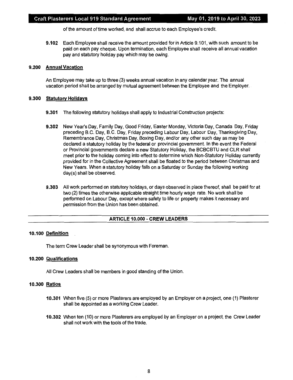of the amount of time worked, and shall accrue to each Employee's credit.

**9.102** Each Employee shall receive the amount provided for in Article 9.101, with such amount to be paid on each pay cheque. Upon termination, each Employee shall receive all annual vacation pay and statutory holiday pay which may be owing.

#### **9.200 Annual Vacation**

An Employee may take up to three (3) weeks annual vacation in any calendar year. The annual vacation period shall be arranged by mutual agreement between the Employee and the Employer.

#### **9.300 Statutory Holidays**

- **9.301** The following statutory holidays shall apply to Industrial Construction projects:
- **9.302** New Year's Day, Family Day, Good Friday, Easter Monday, Victoria Day, Canada Day, Friday preceding B.C. Day, B.C. Day, Friday preceding Labour Day, Labour Day, Thanksgiving Day, Remembrance Day, Christmas Day, Boxing Day, and/or any other such day as may be declared a statutory holiday by the federal or provincial government. In the event the Federal or Provincial governments declare a new Statutory Holiday, the BCBCBTU and CLR shall meet prior to the holiday coming into effect to determine which Non-Statutory Holiday currently provided for in the Collective Agreement shall be floated to the period between Christmas and New Years. When a statutory holiday falls on a Saturday or Sunday the following working day(s) shall be observed.
- **9.303** All work performed on statutory holidays, or days observed in place thereof, shall be paid for at two (2) times the otherwise applicable straight time hourly wage rate. No work shall be performed on Labour Day, except where safety to life or property makes it necessary and permission from the Union has been obtained.

#### **ARTICLE 10.000** - **CREW LEADERS**

#### **10.100 Definition**

The term Crew Leader shall be synonymous with Foreman.

#### **10.200 Qualifications**

All Crew Leaders shall be members in good standing of the Union.

#### **10.300 Ratios**

- **10.301** When five (5) or more Plasterers are employed by an Employer on a project, one (1) Plasterer shall be appointed as a working Crew Leader.
- **10.302** When ten ( 10) or more Plasterers are employed by an Employer on a project, the Crew Leader shall not work with the tools of the trade.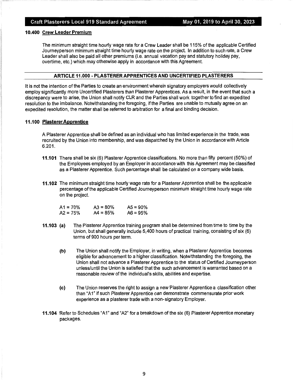#### **10.400 Crew Leader Premium**

The minimum straight time hourly wage rate for a Crew Leader shall be 115% of the applicable Certified Journeyperson minimum straight time hourly wage rate on the project. In addition to such rate, a Crew Leader shall also be paid all other premiums (i.e. annual vacation pay and statutory holiday pay, overtime, etc.) which may otherwise apply in accordance with this Agreement.

#### **ARTICLE 11.000 - PLASTERER APPRENTICES AND UNCERTIFIED PLASTERERS**

It is not the intention of the Parties to create an environment wherein signatory employers would collectively employ significantly more Uncertified Plasterers than Plasterer Apprentices. As a result, in the event that such a discrepancy were to arise, the Union shall notify CLR and the Parties shall work together to find an expedited resolution to the imbalance. Notwithstanding the foregoing, if the Parties are unable to mutually agree on an expedited resolution, the matter shall be referred to arbitration for a final and binding decision.

#### **11.100 Plasterer Apprentice**

A Plasterer Apprentice shall be defined as an individual who has limited experience in the trade, was recruited by the Union into membership, and was dispatched by the Union in accordance with Article 6.201.

- **11.101** There shall be six (6) Plasterer Apprentice classifications. No more than fifty percent (50%) of the Employees employed by an Employer in accordance with this Agreement may be classified as a Plasterer Apprentice. Such percentage shall be calculated on a company wide basis.
- **11.102** The minimum straight time hourly wage rate for a Plasterer Apprentice shall be the applicable percentage of the applicable Certified Journeyperson minimum straight time hourly wage rate on the project.

| A1 = 70% | $A3 = 80%$ | $AS = 90\%$ |
|----------|------------|-------------|
| A2 = 75% | $AA = 85%$ | $AG = 95%$  |

- **11.103 (a)** The Plasterer Apprentice training program shall be determined from time to time by the Union, but shall generally include 5,400 hours of practical training, consisting of six (6) terms of 900 hours per term.
	- **(b)** The Union shall notify the Employer, in writing, when a Plasterer Apprentice becomes eligible for advancement to a higher classification. Notwithstanding the foregoing, the Union shall not advance a Plasterer Apprentice to the status of Certified Journeyperson unless/until the Union is satisfied that the such advancement is warranted based on a reasonable review of the individual's skills, abilities and expertise.
	- **(c)** The Union reserves the right to assign a new Plasterer Apprentice a classification other than "A1" if such Plasterer Apprentice can demonstrate commensurate prior work experience as a plasterer trade with a non-signatory Employer.
- **11.104** Refer to Schedules "A1" and "A2" for a breakdown of the six (6) Plasterer Apprentice monetary packages.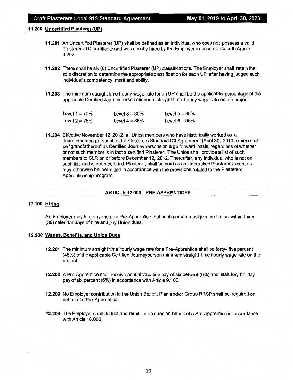#### **11.200 Uncertified Plasterer (UP}**

- **11.201** An Uncertified Plasterer (UP) shall be defined as an individual who does not possess a valid Plasterers TQ certificate and was directly hired by the Employer in accordance with Article 6.202.
- **11.202** There shall be six (6) Uncertified Plasterer (UP) classifications. The Employer shall retain the sole discretion to determine the appropriate classification for each UP after having judged such individual's competency, merit and ability.
- **11.203** The minimum straight time hourly wage rate for an UP shall be the applicable percentage of the applicable Certified Journeyperson minimum straight time hourly wage rate on the project.

| Level $1 = 70%$ | Level $3 = 80\%$ | Level $5 = 90\%$ |
|-----------------|------------------|------------------|
| Level $2 = 75%$ | Level $4 = 85%$  | Level $6 = 95%$  |

**11.204** Effective November 12, 2012, all Union members who have historically worked as a Journeyperson pursuant to the Plasterers Standard ICI Agreement (April 30, 2010 expiry) shall be "grandfathered" as Certified Journeypersons on a go forward basis, regardless of whether or not such member is in fact a certified Plasterer. The Union shall provide a list of such members to CLR on or before December 12, 2012. Thereafter, any individual who is not on such list, and is not a certified Plasterer, shall be paid as an Uncertified Plasterer except as may otherwise be permitted in accordance with the provisions related to the Plasterers Apprenticeship program.

#### **ARTICLE 12.000** - **PRE-APPRENTICES**

#### **12.100 Hiring**

An Employer may hire anyone as a Pre-Apprentice, but such person must join the Union within thirty (30) calendar days of hire and pay Union dues.

#### **12.200 Wages, Benefits, and Union Dues**

- **12.201** The minimum straight time hourly wage rate for a Pre-Apprentice shall be forty- five percent (45%) of the applicable Certified Journeyperson minimum straight time hourly wage rate on the project.
- **12.202** A Pre-Apprentice shall receive annual vacation pay of six percent (6%) and statutory holiday pay of six percent (6%) in accordance with Article 9.100.
- **12.203** No Employer contribution to the Union Benefit Plan and/or Group RRSP shall be required on behalf of a Pre-Apprentice.
- **12.204** The Employer shall deduct and remit Union dues on behalf of a Pre-Apprentice in accordance with Article 18.000.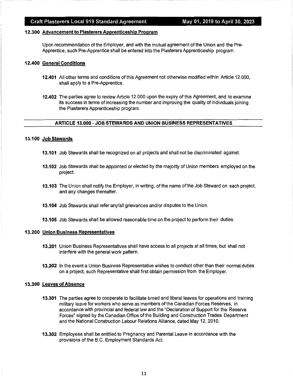#### **12.300 Advancement to Plasterers Apprenticeship Program**

Upon recommendation of the Employer, and with the mutual agreement of the Union and the Pre-Apprentice, such Pre-Apprentice shall be entered into the Plasterers Apprenticeship program.

#### **12.400 General Conditions**

- **12.401** All other terms and conditions of this Agreement not otherwise modified within Article 12.000, shall apply to a Pre-Apprentice.
- **12.402** The parties agree to review Article 12.000 upon the expiry of this Agreement, and to examine its success in terms of increasing the number and improving the quality of individuals joining the Plasterers Apprenticeship program.

#### **ARTICLE 13.000 -JOB STEWARDS AND UNION BUSINESS REPRESENTATIVES**

#### **13.100 Job Stewards**

- **13.101** Job Stewards shall be recognized on all projects and shall not be discriminated against.
- **13.102** Job Stewards shall be appointed or elected by the majority of Union members employed on the project.
- **13.103** The Union shall notify the Employer, in writing, of the name of the Job Steward on each project, and any changes thereafter.
- **13.104** Job Stewards shall refer any/all grievances and/or disputes to the Union.
- **13.105** Job Stewards shall be allowed reasonable time on the project to perform their duties.

#### **13.200 Union Business Representatives**

- **13.201** Union Business Representatives shall have access to all projects at all times, but shall not interfere with the general work pattern.
- **13.202** In the event a Union Business Representative wishes to conduct other than their normal duties on a project, such Representative shall first obtain permission from the Employer.

#### **13.300 Leaves of Absence**

- **13.301** The parties agree to cooperate to facilitate broad and liberal leaves for operations and training military leave for workers who serve as members of the Canadian Forces Reserves, in accordance with provincial and federal law and the "Declaration of Support for the Reserve Forces" signed by the Canadian Office of the Building and Construction Trades Department and the National Construction Labour Relations Alliance, dated May 12, 2010.
- **13.302** Employees shall be entitled to Pregnancy and Parental Leave in accordance with the provisions of the B.C. Employment Standards Act.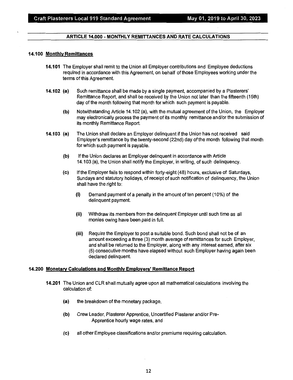#### **ARTICLE 14.000** - **MONTHLY REMITTANCES AND RATE CALCULATIONS**

#### **14.100 Monthly Remittances**

- **14.101** The Employer shall remit to the Union all Employer contributions and Employee deductions required in accordance with this Agreement, on behalf of those Employees working under the terms of this Agreement.
- **14.102 (a)** Such remittance shall be made by a single payment, accompanied by a Plasterers' Remittance Report, and shall be received by the Union not later than the fifteenth (15th) day of the month following that month for which such payment is payable.
	- **(b)** Notwithstanding Article 14.102 (a), with the mutual agreement of the Union, the Employer may electronically process the payment of its monthly remittance and/or the submission of its monthly Remittance Report.
- **14.103 (a)** The Union shall declare an Employer delinquent if the Union has not received said Employer's remittance by the twenty-second (22nd) day of the month following that month for which such payment is payable.
	- **(b)** If the Union declares an Employer delinquent in accordance with Article 14.103 {a), the Union shall notify the Employer, in writing, of such delinquency.
	- **(c)** If the Employer fails to respond within forty-eight (48) hours, exclusive of Saturdays, Sundays and statutory holidays, of receipt of such notification of delinquency, the Union shall have the right to:
		- (i) Demand payment of a penalty in the amount of ten percent ( 10%) of the delinquent payment.
		- (ii) Withdraw its members from the delinquent Employer until such time as all monies owing have been paid in full.
		- (iii) Require the Employer to post a suitable bond. Such bond shall not be of an amount exceeding a three (3) month average of remittances for such Employer, and shall be returned to the Employer, along with any interest earned, after six (6) consecutive months have elapsed without such Employer having again been declared delinquent.

#### **14.200 Monetary Calculations and Monthly Employers' Remittance Report**

- **14.201** The Union and CLR shall mutually agree upon all mathematical calculations involving the calculation of:
	- **(a)** the breakdown of the monetary package,
	- **(b)** Crew Leader, Plasterer Apprentice, Uncertified Plasterer and/or Pre-Apprentice hourly wage rates, and
	- **(c)** all other Employee classifications and/or premiums requiring calculation.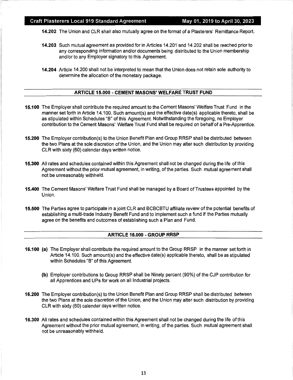**14.202** The Union and CLR shall also mutually agree on the format of a Plasterers' Remittance Report.

- **14.203** Such mutual agreement as provided for in Articles 14.201 and 14.202 shall be reached prior to any corresponding information and/or documents being distributed to the Union membership and/or to any Employer signatory to this Agreement.
- **14.204** Article 14.200 shall not be interpreted to mean that the Union does not retain sole authority to determine the allocation of the monetary package.

#### **ARTICLE 15.000** - **CEMENT MASONS' WELFARE TRUST FUND**

- **15.100** The Employer shall contribute the required amount to the Cement Masons' Welfare Trust Fund in the manner set forth in Article 14.100. Such amount(s) and the effective date(s) applicable thereto, shall be as stipulated within Schedules "B" of this Agreement. Notwithstanding the foregoing, no Employer contribution to the Cement Masons' Welfare Trust Fund shall be required on behalf of a Pre-Apprentice.
- **15.200** The Employer contribution(s) to the Union Benefit Plan and Group RRSP shall be distributed between the two Plans at the sole discretion of the Union, and the Union may alter such distribution by providing CLR with sixty (60) calendar days written notice.
- **15.300** All rates and schedules contained within this Agreement shall not be changed during the life of this Agreement without the prior mutual agreement, in writing, of the parties. Such mutual agreement shall not be unreasonably withheld.
- **15.400** The Cement Masons' Welfare Trust Fund shall be managed by a Board of Trustees appointed by the Union.
- **15.500** The Parties agree to participate in a joint CLR and BCBCBTU affiliate review of the potential benefits of establishing a multi-trade Industry Benefit Fund and to implement such a fund if the Parties mutually agree on the benefits and outcomes of establishing such a Plan and Fund.

#### **ARTICLE 16.000 -GROUP RRSP**

- **16.100 (a)** The Employer shall contribute the required amount to the Group RRSP in the manner set forth in Article 14.100. Such amount(s) and the effective date(s) applicable thereto, shall be as stipulated within Schedules "B" of this Agreement.
	- **(b)** Employer contributions to Group RRSP shall be Ninety percent (90%) of the CJP contribution for all Apprentices and UPs for work on all Industrial projects.
- **16.200** The Employer contribution(s) to the Union Benefit Plan and Group RRSP shall be distributed between the two Plans at the sole discretion of the Union, and the Union may alter such distribution by providing CLR with sixty (60) calendar days written notice.
- **16.300** All rates and schedules contained within this Agreement shall not be changed during the life of this Agreement without the prior mutual agreement, in writing, of the parties. Such mutual agreement shall not be unreasonably withheld.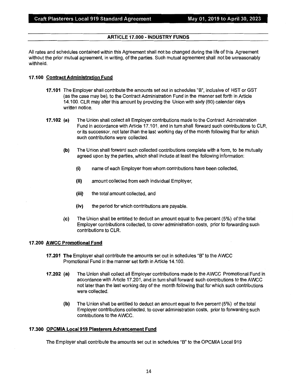#### **ARTICLE 17.000 - INDUSTRY FUNDS**

All rates and schedules contained within this Agreement shall not be changed during the life of this Agreement without the prior mutual agreement, in writing, of the parties. Such mutual agreement shall not be unreasonably withheld.

#### **17.100 Contract Administration Fund**

- **17.101** The Employer shall contribute the amounts set out in schedules "B", inclusive of HST or GST (as the case may be), to the Contract Administration Fund in the manner set forth in Article 14.100. CLR may alter this amount by providing the Union with sixty (60) calendar days written notice.
- **17.102 (a)** The Union shall collect all Employer contributions made to the Contract Administration Fund in accordance with Article 17.101, and in turn shall forward such contributions to CLR, or its successor, not later than the last working day of the month following that for which such contributions were collected.
	- **(b)** The Union shall forward such collected contributions complete with a form, to be mutually agreed upon by the parties, which shall include at least the following information:
		- **(i)** name of each Employer from whom contributions have been collected,
		- (ii) amount collected from each individual Employer,
		- **(iii)** the total amount collected, and
		- **(iv)** the period for which contributions are payable.
	- **(c)** The Union shall be entitled to deduct an amount equal to five percent (5%) of the total Employer contributions collected, to cover administration costs, prior to forwarding such contributions to CLR.

#### **17.200 AWCC Promotional Fund**

- **17.201 The** Employer shall contribute the amounts set out in schedules "B" to the AWCC Promotional Fund in the manner set forth in Article 14.100.
- **17.202 (a)** The Union shall collect all Employer contributions made to the AWCC Promotional Fund in accordance with Article 17.201, and in turn shall forward such contributions to the AWCC not later than the last working day of the month following that for which such contributions were collected.
	- **(b)** The Union shall be entitled to deduct an amount equal to five percent (5%) of the total Employer contributions collected, to cover administration costs, prior to forwarding such contributions to the AWCC.

#### **17.300 OPCMIA Local 919 Plasterers Advancement Fund**

The Employer shall contribute the amounts set out in schedules "B" to the OPCMIA Local 919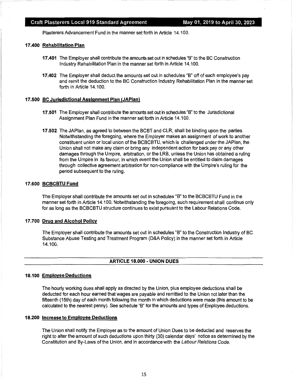Plasterers Advancement Fund in the manner set forth in Article 14.100.

#### **17.400 Rehabilitation Plan**

- **17 .401** The Employer shall contribute the amounts set out in schedules "B" to the BC Construction Industry Rehabilitation Plan in the manner set forth in Article 14.100.
- **17.402** The Employer shall deduct the amounts set out in schedules "B" off of each employee's pay and remit the deduction to the BC Construction Industry Rehabilitation Plan in the manner set forth in Article 14.100.

#### **17.500 BC Jurisdictional Assignment Plan (JAPlan)**

- **17.501** The Employer shall contribute the amounts set out in schedules "B" to the Jurisdictional Assignment Plan Fund in the manner set forth in Article 14.100.
- **17.502** The JAPlan, as agreed to between the BCBT and CLR, shall be binding upon the parties. Notwithstanding the foregoing, where the Employer makes an assignment of work to another constituent union or local union of the BCBCBTU, which is challenged under the JAPlan, the Union shall not make any claim or bring any independent action for back pay or any other damages through the Umpire, arbitration, or the LRB, unless the Union has obtained a ruling from the Umpire in its favour, in which event the Union shall be entitled to claim damages through collective agreement arbitration for non-compliance with the Umpire's ruling for the period subsequent to the ruling.

#### **17.600 BCBCBTU Fund**

The Employer shall contribute the amounts set out in schedules "B" to the BCBCBTU Fund in the manner set forth in Article 14.100. Notwithstanding the foregoing, such requirement shall continue only for as long as the BCBCBTU structure continues to exist pursuant to the Labour Relations Code.

#### **17.700 Drug and Alcohol Policy**

The Employer shall contribute the amounts set out in schedules "B" to the Construction Industry of BC Substance Abuse Testing and Treatment Program (D&A Policy) in the manner set forth in Article 14.100.

#### **ARTICLE 18.000-UNION DUES**

#### **18.100 Employee Deductions**

The hourly working dues shall apply as directed by the Union, plus employee deductions shall be deducted for each hour earned that wages are payable and remitted to the Union not later than the fifteenth (15th) day of each month following the month in which deductions were made (this amount to be calculated to the nearest penny). See schedule "B" for the amounts and types of Employee deductions.

#### **18.200 Increase to Employee Deductions**

The Union shall notify the Employer as to the amount of Union Dues to be deducted and reserves the right to alter the amount of such deductions upon thirty (30) calendar days' notice as determined by the Constitution and By-Laws of the Union, and in accordance with the Labour Relations Code.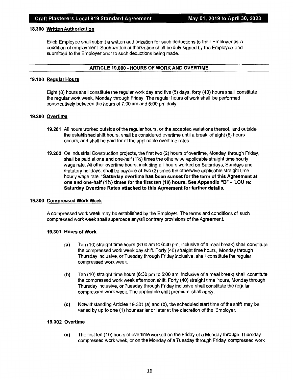#### **18.300 Written Authorization**

Each Employee shall submit a written authorization for such deductions to their Employer as a condition of employment. Such written authorization shall be duly signed by the Employee and submitted to the Employer prior to such deductions being made.

#### **ARTICLE 19.000** - **HOURS OF WORK AND OVERTIME**

#### **19.100 Regular Hours**

Eight (8) hours shall constitute the regular work day and five (5) days, forty (40) hours shall constitute the regular workweek, Monday through Friday. The regular hours of work shall be performed consecutively between the hours of 7:00 am and 5:00 pm daily.

#### **19.200 Overtime**

- **19.201** All hours worked outside of the regular hours, or the accepted variations thereof, and outside the established shift hours, shall be considered overtime until a break of eight (8) hours occurs, and shall be paid for at the applicable overtime rates.
- **19.202** On Industrial Construction projects, the first two (2) hours of overtime, Monday through Friday, shall be paid at one and one-half (11/2) times the otherwise applicable straight time hourly wage rate. All other overtime hours, including all hours worked on Saturdays, Sundays and statutory holidays, shall be payable at two (2) times the otherwise applicable straight time hourly wage rate. **\*Saturday overtime has been sunset for the term of this Agreement at one and one-half (1½) times for the first ten (10) hours. See Appendix "D"** - **LOU re: Saturday Overtime Rates attached to this Agreement for further details.**

#### **19.300 Compressed Work Week**

A compressed work week may be established by the Employer. The terms and conditions of such compressed work week shall supercede any/all contrary provisions of the Agreement.

#### **19.301 Hours of Work**

- **(a)** Ten (10) straight time hours (8:00 am to 6:30 pm, inclusive of a meal break) shall constitute the compressed work week day shift. Forty (40) straight time hours, Monday through Thursday inclusive, or Tuesday through Friday inclusive, shall constitute the regular compressed work week.
- **(b)** Ten (10) straight time hours (6:30 pm to 5:00 am, inclusive of a meal break) shall constitute the compressed work week afternoon shift. Forty (40) straight time hours, Monday through Thursday inclusive, or Tuesday through Friday inclusive shall constitute the regular compressed work week. The applicable shift premium shall apply.
- **(c)** Notwithstanding Articles 19.301 (a) and (b), the scheduled start time of the shift may be varied by up to one (1) hour earlier or later at the discretion of the Employer.

#### **19.302 Overtime**

**(a)** The first ten (10) hours of overtime worked on the Friday of a Monday through Thursday compressed work week, or on the Monday of a Tuesday through Friday compressed work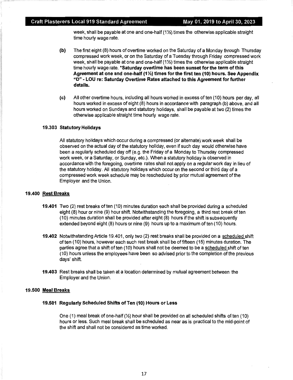week, shall be payable at one and one-half (1½) times the otherwise applicable straight time hourly wage rate.

- **(b)** The first eight (8) hours of overtime worked on the Saturday of a Monday through Thursday compressed work week, or on the Saturday of a Tuesday through Friday compressed work week, shall be payable at one and one-half  $(12)$  times the otherwise applicable straight time hourly wage rate. **\*Saturday overtime has been sunset for the term of this Agreement at one and one-half (1½) times for the first ten (10) hours. See Appendix "D"** - **LOU re: Saturday Overtime Rates attached to this Agreement for further details.**
- **(c)** All other overtime hours, including all hours worked in excess of ten (10) hours per day, all hours worked in excess of eight (8) hours in accordance with paragraph (b) above, and all hours worked on Sundays and statutory holidays, shall be payable at two (2) times the otherwise applicable straight time hourly wage rate.

#### **19.303 Statutory Holidays**

All statutory holidays which occur during a compressed (or alternate) work week shall be observed on the actual day of the statutory holiday, even if such day would otherwise have been a regularly scheduled day off (e.g. the Friday of a Monday to Thursday compressed work week, or a Saturday, or Sunday, etc.). When a statutory holiday is observed in accordance with the foregoing, overtime rates shall not apply on a regular work day in lieu of the statutory holiday. All statutory holidays which occur on the second or third day of a compressed work week schedule may be rescheduled by prior mutual agreement of the Employer and the Union.

#### **19.400 Rest Breaks**

- **19.401** Two (2) rest breaks of ten (10) minutes duration each shall be provided during a scheduled eight (8) hour or nine (9) hour shift. Notwithstanding the foregoing, a third rest break of ten (10) minutes duration shall be provided after eight (8) hours if the shift is subsequently extended beyond eight (8) hours or nine (9) hours up to a maximum of ten ( 10) hours.
- **19.402** Notwithstanding Article 19.401, only two (2) rest breaks shall be provided on a scheduled shift often (10) hours, however each such rest break shall be of fifteen (15) minutes duration. The parties agree that a shift of ten (10) hours shall not be deemed to be a scheduled shift of ten (10) hours unless the employees have been so advised prior to the completion of the previous days' shift.
- **19.403** Rest breaks shall be taken at a location determined by mutual agreement between the Employer and the Union.

#### **19.500 Meal Breaks**

#### **19.501 Regularly Scheduled Shifts of Ten (10) Hours or Less**

One (1) meal break of one-half  $\langle\frac{1}{2}\rangle$  hour shall be provided on all scheduled shifts of ten (10) hours or less. Such meal break shall be scheduled as near as is practical to the mid-point of the shift and shall not be considered as time worked.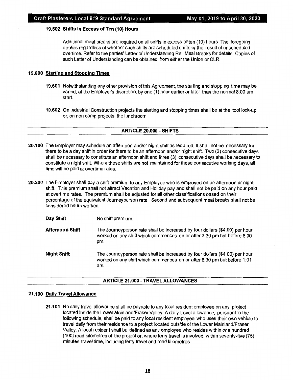#### **19.502 Shifts in Excess of Ten (10) Hours**

Additional meal breaks are required on all shifts in excess of ten (10) hours. The foregoing applies regardless of whether such shifts are scheduled shifts or the result of unscheduled overtime. Refer to the parties' Letter of Understanding Re: Meal Breaks for details. Copies of such Letter of Understanding can be obtained from either the Union or CLR.

#### **19.600 Starting and Stopping Times**

- **19.601** Notwithstanding any other provision of this Agreement, the starting and stopping time may be varied, at the Employer's discretion, by one (1) hour earlier or later than the normal 8:00 am start.
- **19.602** On Industrial Construction projects the starting and stopping times shall be at the tool lock-up, or, on non camp projects, the lunchroom.

#### **ARTICLE 20.000** - **SHIFTS**

- **20.100** The Employer may schedule an afternoon and/or night shift as required. It shall not be necessary for there to be a day shift in order for there to be an afternoon and/or night shift. Two (2) consecutive days shall be necessary to constitute an afternoon shift and three (3) consecutive days shall be necessary to constitute a night shift. Where these shifts are not maintained for these consecutive working days, all time will be paid at overtime rates.
- **20.200** The Employer shall pay a shift premium to any Employee who is employed on an afternoon or night shift. This premium shall not attract Vacation and Holiday pay and shall not be paid on any hour paid at overtime rates. The premium shall be adjusted for all other classifications based on their percentage of the equivalent Journeyperson rate. Second and subsequent meal breaks shall not be considered hours worked.

| Day Shift | No shift premium. |
|-----------|-------------------|
|-----------|-------------------|

- **Afternoon Shift** The Journeyperson rate shall be increased by four dollars (\$4.00) per hour worked on any shift which commences on or after 3:30 pm but before 8:30 pm.
- **Night Shift**  The Journeyperson rate shall be increased by four dollars (\$4.00) per hour worked on any shift which commences on or after 8:30 pm but before 1 :01 am.

#### **ARTICLE 21.000** - **TRAVEL ALLOWANCES**

#### **21.100 Daily Travel Allowance**

**21.101** No daily travel allowance shall be payable to any local resident employee on any project located inside the Lower Mainland/Fraser Valley. A daily travel allowance, pursuant to the following schedule, shall be paid to any local resident employee who uses their own vehicle to travel daily from their residence to a project located outside of the Lower Mainland/Fraser Valley. A local resident shall be defined as any employee who resides within one hundred (100) road kilometres of the project or, where ferry travel is involved, within seventy-five (75) minutes travel time, including ferry travel and road kilometres.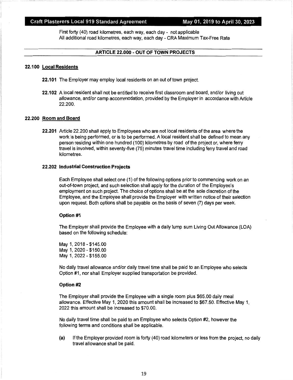#### Craft Plasterers Local 919 Standard Agreement May 01, 2019 to April 30, 2023

First forty (40) road kilometres, each way, each day - not applicable All additional road kilometres, each way, each day- CRA Maximum Tax~Free Rate

#### **ARTICLE 22.000** - **OUT OF TOWN PROJECTS**

#### **22.100 Local Residents**

- **22.101** The Employer may employ local residents on an out of town project.
- **22.102** A local resident shall not be entitled to receive first classroom and board, and/or living out allowance, and/or camp accommodation, provided by the Employer in accordance with Article 22.200.

#### **22.200 Room and Board**

**22.201** Article 22.200 shall apply to Employees who are not local residents of the area where the work is being performed, or is to be performed. A local resident shall be defined to mean any person residing within one hundred (100) kilometres by road of the project or, where ferry travel is involved, within seventy-five (75) minutes travel time including ferry travel and road kilometres.

#### **22.202 Industrial Construction Projects**

Each Employee shall select one ( 1) of the following options prior to commencing work on an out-of-town project, and such selection shall apply for the duration of the Employee's employment on such project. The choice of options shall be at the sole discretion of the Employee, and the Employee shall provide the Employer with written notice of their selection upon request. Both options shall be payable on the basis of seven (7) days per week.

#### **Option #1**

The Employer shall provide the Employee with a daily lump sum Living Out Allowance (LOA) based on the following schedule:

May 1, 2018 - \$145.00 May 1, 2020 -\$150.00 May 1, 2022-\$155.00

No daily travel allowance and/or daily travel time shall be paid to an Employee who selects Option #1, nor shall Employer supplied transportation be provided.

#### **Option #2**

The Employer shall provide the Employee with a single room plus \$65.00 daily meal allowance. Effective May 1, 2020 this amount shall be increased to \$67.50. Effective May 1, 2022 this amount shall be increased to \$70.00.

No daily travel time shall be paid to an Employee who selects Option #2, however the following terms and conditions shall be applicable.

**(a)** If the Employer provided room is forty (40) road kilometers or less from the project, no daily travel allowance shall be paid.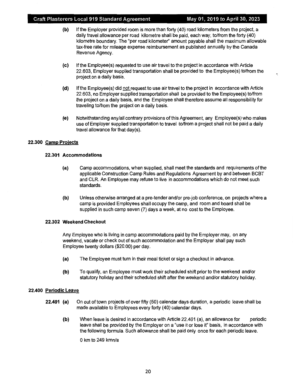- **(b}** If the Employer provided room is more than forty (40) road kilometers from the project, a daily travel allowance per road kilometre shall be paid, each way, to/from the forty (40) kilometre boundary. The "per road kilometer" amount payable shall the maximum allowable tax-free rate for mileage expense reimbursement as published annually by the Canada Revenue Agency.
- **(c}** If the Employee(s) requested to use air travel to the project in accordance with Article 22.603, Employer supplied transportation shall be provided to the Employee(s) to/from the project on a daily basis.
- **(d)** If the Employee(s) did not request to use air travel to the project in accordance with Article 22.603, no Employer supplied transportation shall be provided to the Employee(s) to/from the project on a daily basis, and the Employee shall therefore assume all responsibility for traveling to/from the project on a daily basis.
- **(e}** Notwithstanding any/all contrary provisions of this Agreement, any Employee(s) who makes use of Employer supplied transportation to travel to/from a project shall not be paid a daily travel allowance for that day(s).

#### **22.300 Camp Projects**

#### **22.301 Accommodations**

- **(a}** Camp accommodations, when supplied, shall meet the standards and requirements of the applicable Construction Camp Rules and Regulations Agreement by and between BCBT and CLR. An Employee may refuse to live in accommodations which do not meet such standards.
- **(b}** Unless otherwise arranged at a pre-tender and/or pre-job conference, on projects where a camp is provided Employees shall occupy the camp, and room and board shall be supplied in such camp seven (7) days a week, at no cost to the Employee.

#### **22.302 Weekend Checkout**

Any Employee who is living in camp accommodations paid by the Employer may, on any weekend, vacate or check out of such accommodation and the Employer shall pay such Employee twenty dollars (\$20.00) per day.

- **(a}** The Employee must turn in their meal ticket or sign a checkout in advance.
- **(b}** To qualify, an Employee must work their scheduled shift prior to the weekend and/or statutory holiday and their scheduled shift after the weekend and/or statutory holiday.

#### **22.400 Periodic Leave**

- **22.401 (a)** On out of town projects of over fifty (50) calendar days duration, a periodic leave shall be made available to Employees every forty (40) calendar days.
	- **(b}** When leave is desired in accordance with Article 22.401 (a), an allowance for periodic leave shall be provided by the Employer on a "use it or lose it" basis, in accordance with the following formula. Such allowance shall be paid only once for each periodic leave.

O km to 249 kmn/a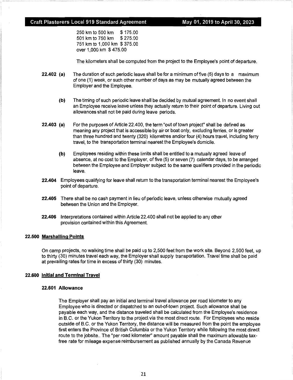#### **Craft Plasterers Local 919 Standard Agreement May 01, 2019 to April 30, 2023**

250 km to 500 km \$ 175.00 501 km to 750 km \$ 275.00 751 km to 1,000 km \$ 375.00 over 1,000 km \$ 475.00

The kilometers shall be computed from the project to the Employee's point of departure.

- **22.402 (a)** The duration of such periodic leave shall be for a minimum of five (5) days to a maximum of one (1) week, or such other number of days as may be mutually agreed between the Employer and the Employee.
	- **(b)** The timing of such periodic leave shall be decided by mutual agreement. In no event shall an Employee receive leave unless they actually return to their point of departure. Living out allowances shall not be paid during leave periods.
- **22.403 (a)** For the purposes of Article 22.400, the term "out of town project" shall be defined as meaning any project that is accessible by air or boat only, excluding ferries, or is greater than three hundred and twenty (320) kilometres and/or four (4) hours travel, including ferry travel, to the transportation terminal nearest the Employee's domicile.
	- **(b}** Employees residing within these limits shall be entitled to a mutually agreed leave of absence, at no cost to the Employer, of five (5) or seven (7) calendar days, to be arranged between the Employee and Employer subject to the same qualifiers provided in the periodic leave.
- **22.404** Employees qualifying for leave shall return to the transportation terminal nearest the Employee's point of departure.
- **22.405** There shall be no cash payment in lieu of periodic leave, unless otherwise mutually agreed between the Union and the Employer.
- **22.406** Interpretations contained within Article 22.400 shall not be applied to any other provision contained within this Agreement.

#### **22.500 Marshalling Points**

On camp projects, no walking time shall be paid up to 2,500 feet from the work site. Beyond 2,500 feet, up to thirty (30) minutes travel each way, the Employer shall supply transportation. Travel time shall be paid at prevailing rates for time in excess of thirty (30) minutes.

#### **22.600 Initial and Terminal Travel**

#### **22.601 Allowance**

The Employer shall pay an initial and terminal travel allowance per road kilometer to any Employee who is directed or dispatched to an out-of-town project. Such allowance shall be payable each way, and the distance traveled shall be calculated from the Employee's residence in B.C. or the Yukon Territory to the project via the most direct route. For Employees who reside outside of B.C. or the Yukon Territory, the distance will be measured from the point the employee first enters the Province of British Columbia or the Yukon Territory while following the most direct route to the jobsite.. The "per road kilometer" amount payable shall the maximum allowable taxfree rate for mileage expense reimbursement as published annually by the Canada Revenue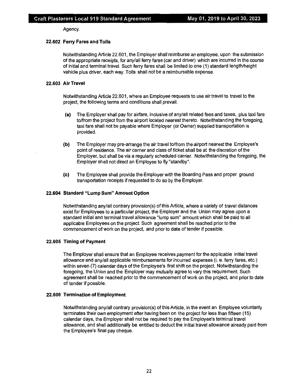Agency.

#### **22.602 Ferry Fares and Tolls**

Notwithstanding Article 22.601, the Employer shall reimburse an employee, upon the submission of the appropriate receipts, for any/all ferry fares ( car and driver) which are incurred in the course of initial and terminal travel. Such ferry fares shall be limited to one (1) standard length/height vehicle plus driver, each way. Tolls shall not be a reimbursable expense.

#### **22.603 Air Travel**

Notwithstanding Article 22.601, where an Employee requests to use air travel to travel to the project, the following terms and conditions shall prevail.

- **(a)** The Employer shall pay for airfare, inclusive of any/all related fees and taxes, plus taxi fare to/from the project from the airport located nearest thereto. Notwithstanding the foregoing, taxi fare shall not be payable where Employer (or Owner) supplied transportation is provided.
- **(b)** The Employer may pre-arrange the air travel to/from the airport nearest the Employee's point of residence. The air carrier and class of ticket shall be at the discretion of the Employer, but shall be via a regularly scheduled carrier. Notwithstanding the foregoing, the Employer shall not direct an Employee to fly "standby".
- **(c)** The Employee shall provide the Employer with the Boarding Pass and proper ground transportation receipts if requested to do so by the Employer.

#### **22.604 Standard "Lump Sum" Amount Option**

Notwithstanding any/all contrary provision(s) of this Article, where a variety of travel distances exist for Employees to a particular project, the Employer and the Union may agree upon a standard initial and terminal travel allowance "lump sum" amount which shall be paid to all applicable Employees on the project. Such agreement shall be reached prior to the commencement of work on the project, and prior to date of tender if possible.

#### **22.605 Timing of Payment**

The Employer shall ensure that an Employee receives payment for the applicable initial travel allowance and any/all applicable reimbursements for incurred expenses (i. e. ferry fares, etc.) within seven (7) calendar days of the Employee's first shift on the project. Notwithstanding the foregoing, the Union and the Employer may mutually agree to vary this requirement. Such agreement shall be reached prior to the commencement of work on the project, and prior to date of tender if possible.

#### **22.606 Termination of Employment**

Notwithstanding any/all contrary provision(s) of this Article, in the event an Employee voluntarily terminates their own employment after having been on the project for less than fifteen ( 15) calendar days, the Employer shall not be required to pay the Employee's terminal travel allowance, and shall additionally be entitled to deduct the initial travel allowance already paid from the Employee's final pay cheque.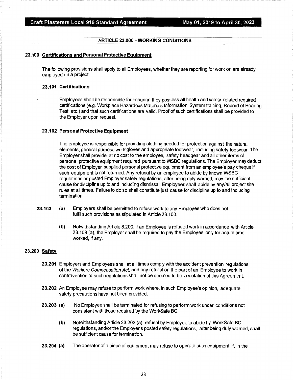#### **ARTICLE 23.000** - **WORKING CONDITIONS**

#### **23.100 Certifications and Personal Protective Equipment**

The following provisions shall apply to all Employees, whether they are reporting for work or are already employed on a project.

#### **23.101 Certifications**

Employees shall be responsible for ensuring they possess all health and safety related required certifications (e.g. Workplace Hazardous Materials Information System training, Record of Hearing Test, etc.) and that such certifications are valid. Proof of such certifications shall be provided to the Employer upon request.

#### **23.102 Personal Protective Equipment**

The employee is responsible for providing clothing needed for protection against the natural elements, general purpose work gloves and appropriate footwear, including safety footwear. The Employer shall provide, at no cost to the employee, safety headgear and all other items of personal protective equipment required pursuant to WSBC regulations. The Employer may deduct the cost of Employer supplied personal protective equipment from an employee's pay cheque if such equipment is not returned. Any refusal by an employee to abide by known WSBC regulations or posted Employer safety regulations, after being duly warned, may be sufficient cause for discipline up to and including dismissal. Employees shall abide by any/all project site rules at all times. Failure to do so shall constitute just cause for discipline up to and including termination.

- **23.103 (a)** Employers shall be permitted to refuse work to any Employee who does not fulfil such provisions as stipulated in Article 23.100.
	- **(b)** Notwithstanding Article 8.200, if an Employee is refused work in accordance with Article 23.103 (a), the Employer shall be required to pay the Employee only for actual time worked, if any.

#### **23.200 Safety**

- **23.201** Employers and Employees shall at all times comply with the accident prevention regulations of the Workers Compensation Act, and any refusal on the part of an Employee to work in contravention of such regulations shall not be deemed to be a violation of this Agreement.
- **23.202** An Employee may refuse to perform work where, in such Employee's opinion, adequate safety precautions have not been provided.
- **23.203 (a)** No Employee shall be terminated for refusing to perform work under conditions not consistent with those required by the WorkSafe BC.
	- **(b)** Notwithstanding Article 23.203 (a), refusal by Employee to abide by WorkSafe BC regulations, and/or the Employer's posted safety regulations, after being duly warned, shall be sufficient cause for termination.
- **23.204 (a)** The operator of a piece of equipment may refuse to operate such equipment if, in the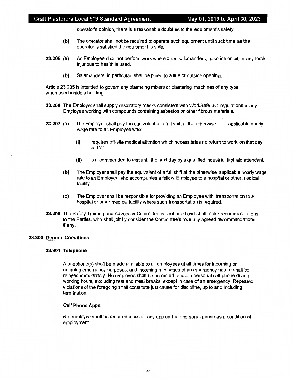operator's opinion, there is a reasonable doubt as to the equipment's safety.

- **(b)** The operator shall not be required to operate such equipment until such time as the operator is satisfied the equipment is safe.
- **23.205 (a)** An Employee shall not perform work where open salamanders, gasoline or oil, or any torch injurious to health is used.
	- **(b)** Salamanders, in particular, shall be piped to a flue or outside opening.

Article 23.205 is intended to govern any plastering mixers or plastering machines of any type when used inside a building.

- **23.206** The Employer shall supply respiratory masks consistent with WorkSafe BC regulations to any Employee working with compounds containing asbestos or other fibrous materials.
- **23.207 (a)** The Employer shall pay the equivalent of a full shift at the otherwise wage rate to an Employee who: applicable hourly
	- (i) requires off-site medical attention which necessitates no return to work on that day, and/or
	- (ii) is recommended to rest until the next day by a qualified industrial first aid attendant.
	- **(b)** The Employer shall pay the equivalent of a full shift at the otherwise applicable hourly wage rate to an Employee who accompanies a fellow Employee to a hospital or other medical facility.
	- **(c)** The Employer shall be responsible for providing an Employee with transportation to a hospital or other medical facility where such transportation is required.
- **23.208** The Safety Training and Advocacy Committee is continued and shall make recommendations to the Parties, who shall jointly consider the Committee's mutually agreed recommendations, if any.

#### **23.300 General Conditions**

#### **23.301 Telephone**

A telephone(s) shall be made available to all employees at all times for incoming or outgoing emergency purposes, and incoming messages of an emergency nature shall be relayed immediately. No employee shall be permitted to use a personal cell phone during working hours, excluding rest and meal breaks, except in case of an emergency. Repeated violations of the foregoing shall constitute just cause for discipline, up to and including termination.

#### **Cell Phone Apps**

No employee shall be required to install any app on their personal phone as a condition of employment.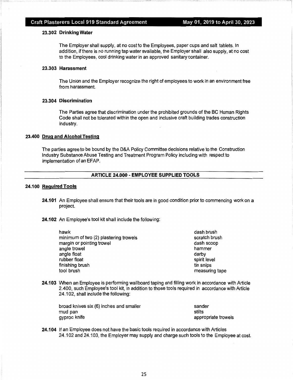#### **23.302 Drinking Water**

The Employer shall supply, at no cost to the Employees, paper cups and salt tablets. In addition, if there is no running tap water available, the Employer shall also supply, at no cost to the Employees, cool drinking water in an approved sanitary container.

#### **23.303 Harassment**

The Union and the Employer recognize the right of employees to work in an environment free from harassment.

#### **23.304 Discrimination**

The Parties agree that discrimination under the prohibited grounds of the BC Human Rights Code shall not be tolerated within the open and inclusive craft building trades construction industry.

#### **23.400 Drug and Alcohol Testing**

The parties agree to be bound by the D&A Policy Committee decisions relative to the Construction Industry Substance Abuse Testing and Treatment Program Policy including with respect to implementation of an EFAP.

#### **ARTICLE 24.000** - **EMPLOYEE SUPPLIED TOOLS**

#### **24.100 Required Tools**

- **24.101** An Employee shall ensure that their tools are in good condition prior to commencing work on a project.
- **24.102** An Employee's tool kit shall include the following:

| dash brush     |
|----------------|
| scratch brush  |
| dash scoop     |
| hammer         |
| darby          |
| spirit level   |
| tin snips      |
| measuring tape |
|                |

**24.103** When an Employee is performing wallboard taping and filling work in accordance with Article 2.400, such Employee's tool kit, in addition to those tools required in accordance with Article 24.102, shall include the following:

| broad knives six (6) inches and smaller | sander              |
|-----------------------------------------|---------------------|
| mud pan                                 | stilts              |
| gyproc knife                            | appropriate trowels |

**24.104** If an Employee does not have the basic tools required in accordance with Articles 24.102 and 24.103, the Employer may supply and charge such tools to the Employee at cost.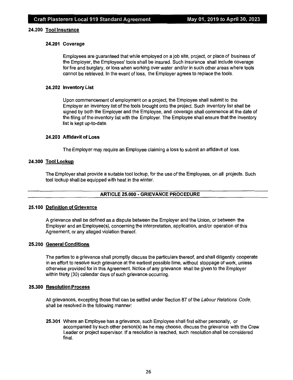#### **24.200 Tool Insurance**

#### **24.201 Coverage**

Employees are guaranteed that while employed on a job site, project, or place of business of the Employer, the Employees' tools shall be insured. Such insurance shall include coverage for fire and burglary, or loss when working over water and/or in such other areas where tools cannot be retrieved. In the event of loss, the Employer agrees to replace the tools.

#### **24.202 Inventory List**

Upon commencement of employment on a project, the Employee shall submit to the Employer an inventory list of the tools brought onto the project. Such inventory list shall be signed by both the Employer and the Employee, and coverage shall commence at the date of the filing of the inventory list with the Employer. The Employee shall ensure that the inventory list is kept up-to-date.

#### **24.203 Affidavit of Loss**

The Employer may require an Employee claiming a loss to submit an affidavit of loss.

#### **24.300 Tool Lockup**

The Employer shall provide a suitable tool lockup, for the use of the Employees, on all projects. Such tool lockup shall be equipped with heat in the winter.

#### **ARTICLE 25.000** - **GRIEVANCE PROCEDURE**

#### **25.100 Definition of Grievance**

A grievance shall be defined as a dispute between the Employer and the Union, or between the Employer and an Employee(s), concerning the interpretation, application, and/or operation of this Agreement, or any alleged violation thereof.

#### **25.200 General Conditions**

The parties to a grievance shall promptly discuss the particulars thereof, and shall diligently cooperate in an effort to resolve such grievance at the earliest possible time, without stoppage of work, unless otherwise provided for in this Agreement. Notice of any grievance shall be given to the Employer within thirty (30) calendar days of such grievance occurring.

#### **25.300 Resolution Process**

All grievances, excepting those that can be settled under Section 87 of the Labour Relations Code, shall be resolved in the following manner:

**25.301** Where an Employee has a grievance, such Employee shall first either personally, or accompanied by such other person(s) as he may choose, discuss the grievance with the Crew Leader or project supervisor. If a resolution is reached, such resolution shall be considered final.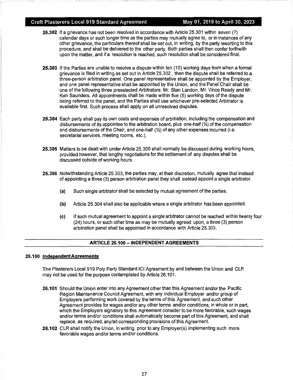#### Craft Plasterers Local 919 Standard Agreement May 01, 2019 to April 30, 2023

- **25.302** If a grievance has not been resolved in accordance with Article 25.301 within seven (7) calendar days or such longer time as the parties may mutually agree to, or in instances of any other grievance, the particulars thereof shall be set out, in writing, by the party resorting to this procedure, and shall be delivered to the other party. Both parties shall then confer forthwith upon the matter, and if a resolution is reached, such resolution shall be considered final.
- **25.303** If the Parties are unable to resolve a dispute within ten (10) working days from when a formal grievance is filed in writing as set out in Article 25.302 , then the dispute shall be referred to a three-person arbitration panel. One panel representative shall be appointed by the Employer, and one panel representative shall be appointed by the Union, and the Panel Chair shall be one of the following three preselected Arbitrators: Mr. Stan Landon, Mr. Vince Ready and Mr. Ken Saunders. All appointments shall be made within five (5) working days of the dispute being referred to the panel, and the Parties shall use whichever pre-selected Arbitrator is available first. Such process shall apply on all unresolved disputes.
- **25.304** Each party shall pay its own costs and expenses of arbitration, including the compensation and disbursements of its appointee to the arbitration board, plus one-half(½) of the compensation and disbursements of the Chair, and one-half (½) of any other expenses incurred (i.e. secretarial services, meeting rooms, etc.).
- **25.305** Matters to be dealt with under Article 25.300 shall normally be discussed during working hours, provided however, that lengthy negotiations for the settlement of any disputes shall be discussed outside of working hours.
- **25.306** Notwithstanding Article 25.303, the parties may, at their discretion, mutually agree that instead of appointing a three (3) person arbitration panel they shall instead appoint a single arbitrator.
	- **(a)** Such single arbitrator shall be selected by mutual agreement of the parties.
	- **(b)** Article 25.304 shall also be applicable where a single arbitrator has been appointed.
	- **(c)** If such mutual agreement to appoint a single arbitrator cannot be reached within twenty four (24) hours, or such other time as may be mutually agreed upon, a three (3) person arbitration panel shall be appointed in accordance with Article 25.303.

#### **ARTICLE 26.100** - **INDEPENDENT AGREEMENTS**

#### **26.100 lndependentAgreements**

The Plasterers Local 919 Poly Party Standard ICI Agreement by and between the Union and CLR may not be used for the purpose contemplated by Article 26.101.

- **26.101** Should the Union enter into any Agreement other than this Agreement and/or the Pacific Region Maintenance Council Agreement, with any individual Employer and/or group of Employers performing work covered by the terms of this Agreement, and such other Agreement provides for wages and/or any other terms and/or conditions, in whole or in part, which the Employers signatory to this Agreement consider to be more favorable, such wages and/or terms and/or conditions shall automatically become part of this Agreement, and shall replace, as required, any/all corresponding provisions of this Agreement.
- **26.102** CLR shall notify the Union, in writing, prior to any Employer(s) implementing such more favorable wages and/or terms and/or conditions.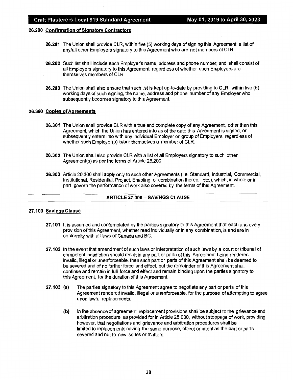#### **26.200 Confirmation of Signatory Contractors**

- **26.201** The Union shall provide CLR, within five (5) working days of signing this Agreement, a list of any/all other Employers signatory to this Agreement who are not members of CLR.
- **26.202** Such list shall include each Employer's name, address and phone number, and shall consist of all Employers signatory to this Agreement, regardless of whether such Employers are themselves members of CLR.
- **26.203** The Union shall also ensure that such list is kept up-to-date by providing to CLR, within five (5) working days of such signing, the name, address and phone number of any Employer who subsequently becomes signatory to this Agreement.

#### **26.300 Copies of Agreements**

- **26.301** The Union shall provide CLR with a true and complete copy of any Agreement, other than this Agreement, which the Union has entered into as of the date this Agreement is signed, or subsequently enters into with any individual Employer or group of Employers, regardless of whether such Employer(s) is/are themselves a member of CLR.
- **26.302** The Union shall also provide CLR with a list of all Employers signatory to such other Agreement(s) as per the terms of Article 26.200.
- **26.303** Article 26.300 shall apply only to such other Agreements (i.e. Standard, Industrial, Commercial, Institutional, Residential, Project, Enabling, or combination thereof, etc.), which, in whole or in part, govern the performance of work also covered by the terms of this Agreement.

#### **ARTICLE 27.000 - SAVINGS CLAUSE**

#### **27 .100 Savings Clause**

- **27.101** It is assumed and contemplated by the parties signatory to this Agreement that each and every provision of this Agreement, whether read individually or in any combination, is and are in conformity with all laws of Canada and BC.
- **27.102** In the event that amendment of such laws or interpretation of such laws by a court or tribunal of competent jurisdiction should result in any part or parts of this Agreement being rendered invalid, illegal or unenforceable, then such part or parts of this Agreement shall be deemed to be severed and of no further force and effect, but the remainder of this Agreement shall continue and remain in full force and effect and remain binding upon the parties signatory to this Agreement, for the duration of this Agreement.
- **27 .103 {a)** The parties signatory to this Agreement agree to negotiate any part or parts of this Agreement rendered invalid, illegal or unenforceable, for the purpose of attempting to agree upon lawful replacements.
	- **{b)** In the absence of agreement, replacement provisions shall be subject to the grievance and arbitration procedure, as provided for in Article 25.000, without stoppage of work, providing however, that negotiations and grievance and arbitration procedures shall be limited to replacements having the same purpose, object or intent as the part or parts severed and not to new issues or matters.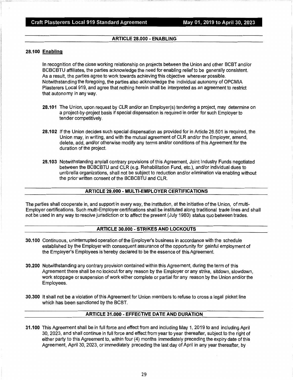#### Craft Plasterers Local 919 Standard Agreement May 01, 2019 to April 30, 2023

#### **ARTICLE 28.000 - ENABLING**

#### **28.100 Enabling**

In recognition of the close working relationship on projects between the Union and other BCBT and/or BC BC BTU affiliates, the parties acknowledge the need for enabling relief to be generally consistent. As a result, the parties agree to work towards achieving this objective wherever possible. Notwithstanding the foregoing, the parties also acknowledge the individual autonomy of OPCMIA Plasterers Local 919, and agree that nothing herein shall be interpreted as an agreement to restrict that autonomy in any way.

- **28.101** The Union, upon request by CLR and/or an Employer(s) tendering a project, may determine on a project-by-project basis if special dispensation is required in order for such Employer to tender competitively.
- **28.102** If the Union decides such special dispensation as provided for in Article 26.501 is required, the Union may, in writing, and with the mutual agreement of CLR and/or the Employer, amend, delete, add, and/or otherwise modify any terms and/or conditions of this Agreement for the duration of the project.
- **28.103** Notwithstanding any/all contrary provisions of this Agreement, Joint Industry Funds negotiated between the BCBCBTU and CLR (e.g. Rehabilitation Fund, etc.), and/or individual dues to umbrella organizations, shall not be subject to reduction and/or elimination via enabling without the prior written consent of the BCBCBTU and CLR.

#### **ARTICLE 29.000 - MUL Tl-EMPLOYER CERTIFICATIONS**

The parties shall cooperate in, and support in every way, the institution, at the initiative of the Union, of multi-Employer certifications. Such multi-Employer certifications shall be instituted along traditional trade lines and shall not be used in any way to resolve jurisdiction or to affect the present (July 1980) status quo between trades.

#### **ARTICLE 30.000 - STRIKES AND LOCKOUTS**

- **30.100** Continuous, uninterrupted operation of the Employer's business in accordance with the schedule established by the Employer with consequent assurance of the opportunity for gainful employment of the Employer's Employees is hereby declared to be the essence of this Agreement.
- **30.200** Notwithstanding any contrary provision contained within this Agreement, during the term of this Agreement there shall be no lockout for any reason by the Employer or any strike, sitdown, slowdown, work stoppage or suspension of work either complete or partial for any reason by the Union and/or the Employees.
- **30.300** It shall not be a violation of this Agreement for Union members to refuse to cross a legal picket line which has been sanctioned by the BCBT.

#### **ARTICLE 31.000 - EFFECTIVE DATE AND DURATION**

**31.100** This Agreement shall be in full force and effect from and including May 1, 2019 to and including April 30, 2023, and shall continue in full force and effect from year to year thereafter, subject to the right of either party to this Agreement to, within four (4) months immediately preceding the expiry date of this Agreement, April 30, 2023, or immediately preceding the last day of April in any year thereafter, by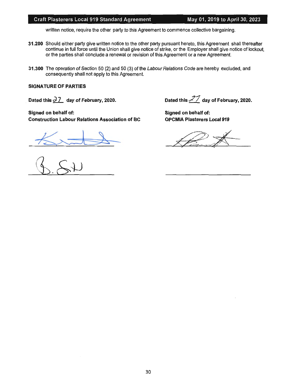#### Craft Plasterers Local 919 Standard Agreement May 01, 2019 to April 30, 2023

written notice, require the other party to this Agreement to commence collective bargaining.

- **31 .200** Should either party give written notice to the other party pursuant hereto, this Agreement shall thereafter continue in full force until the Union shall give notice of strike, or the Employer shall give notice of lockout, or the parties shall conclude a renewal or revision of this Agreement or a new Agreement.
- **31.300** The operation of Section 50 (2) and 50 (3) of the Labour Relations Code are hereby excluded, and consequently shall not apply to this Agreement.

#### **SIGNATURE OF PARTIES**

**Dated this <sup>~</sup> - day of February, 2020.** 

**Signed on behalf of: Construction Labour Relations Association of BC** 

 $\overline{\phantom{a}}$ 

**Dated this** *J/* **day of February, 2020.** 

**Signed on behalf of: OPCMIA Plasterers Local 919**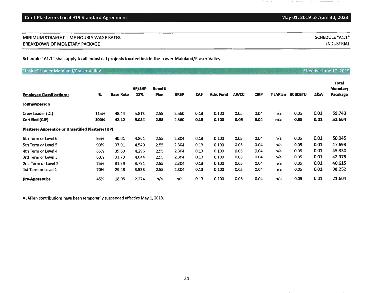### **MINIMUM** STRAIGHT TIME HOURLY WAGE RATES BREAKDOWN OF MONETARY PACKAGE

Schedule "Al.1" shall apply to all industrial projects located inside the Lower Mainland/Fraser Valley

| "Inside" Lower Mainland/Fraser Valley |  |  |  |  |  |
|---------------------------------------|--|--|--|--|--|
|---------------------------------------|--|--|--|--|--|

|                                                           |      |                  | <b>VP/SHP</b> | <b>Benefit</b> |             |            |           |             |             |          |                |      | Total<br><b>Monetary</b> |
|-----------------------------------------------------------|------|------------------|---------------|----------------|-------------|------------|-----------|-------------|-------------|----------|----------------|------|--------------------------|
| <b>Employee Classifications:</b>                          | %    | <b>Base Rate</b> | 12%           | Plan           | <b>RRSP</b> | <b>CAF</b> | Adv. Fund | <b>AWCC</b> | <b>CIRP</b> | ‡ JAPlan | <b>BCBCBTU</b> | D&A  | Pacakage                 |
| Journeyperson                                             |      |                  |               |                |             |            |           |             |             |          |                |      |                          |
| Crew Leader (CL)                                          | 115% | 48.44            | 5.813         | 2.55           | 2.560       | 0.13       | 0.100     | 0.05        | 0.04        | n/a      | 0.05           | 0.01 | 59.743                   |
| Certified (CJP)                                           | 100% | 42.12            | 5.054         | 2.55           | 2.560       | 0.13       | 0.100     | 0.05        | 0.04        | n/a      | 0.05           | 0.01 | 52.664                   |
| <b>Plasterer Apprentice or Uncertified Plasterer (UP)</b> |      |                  |               |                |             |            |           |             |             |          |                |      |                          |
| 6th Term or Level 6                                       | 95%  | 40.01            | 4.801         | 2.55           | 2.304       | 0.13       | 0.100     | 0.05        | 0.04        | n/a      | 0.05           | 0.01 | 50.045                   |
| 5th Term or Level 5                                       | 90%  | 37.91            | 4.549         | 2.55           | 2.304       | 0.13       | 0.100     | 0.05        | 0.04        | n/a      | 0.05           | 0.01 | 47.693                   |
| 4th Term or Level 4                                       | 85%  | 35,80            | 4.296         | 2.55           | 2.304       | 0.13       | 0.100     | 0.05        | 0.04        | n/a      | 0.05           | 0.01 | 45.330                   |
| 3rd Term or Level 3                                       | 80%  | 33.70            | 4.044         | 2.55           | 2.304       | 0.13       | 0.100     | 0.05        | 0.04        | n/a      | 0.05           | 0.01 | 42.978                   |
| 2nd Term or Level 2                                       | 75%  | 31.59            | 3.791         | 2.55           | 2.304       | 0.13       | 0.100     | 0.05        | 0.04        | n/a      | 0.05           | 0.01 | 40.615                   |
| 1st Term or Level 1                                       | 70%  | 29.48            | 3.538         | 2.55           | 2.304       | 0.13       | 0.100     | 0.05        | 0.04        | n/a      | 0.05           | 0.01 | 38.252                   |
| <b>Pre-Apprentice</b>                                     | 45%  | 18.95            | 2.274         | n/a            | n/a         | 0.13       | 0.100     | 0.05        | 0.04        | n/a      | 0.05           | 0.01 | 21.604                   |

\* JAPlan contributions have been temporarily suspended effective May 1, 2018.

 $\sim$   $\sim$   $\sim$   $\sim$ 

 $\alpha = \alpha + \beta = 1$  , and  $\alpha = 1$ 

 $\mathcal{A}^{\mathcal{A}}$  , and  $\mathcal{A}^{\mathcal{A}}$  is a subsequent to (

SCHEDULE "A1.1" INDUSTRIAL

Effective June 17, 2019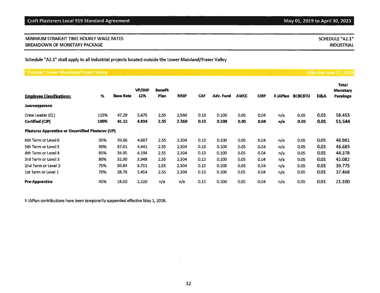| MINIMUM STRAIGHT TIME HOURLY WAGE RATES | SCHEDULE "A2.1"   |
|-----------------------------------------|-------------------|
| <b>BREAKDOWN OF MONETARY PACKAGE</b>    | <b>INDUSTRIAL</b> |

Schedule "A2.1" shall apply to all industrial projects located outside the Lower Mainland/Fraser Valley

## "Outside" Lower Mainland/Fraser Valley

| <b>Employee Classifications:</b>                   | %    | <b>Base Rate</b> | <b>VP/SHP</b><br>12% | <b>Benefit</b><br>Plan | <b>RRSP</b> | <b>CAF</b> | Adv. Fund | <b>AWCC</b> | <b>CIRP</b> |     | <b>‡JAPlan BCBCBTU</b> | D&A  | Total<br><b>Monetary</b><br>Pacakage |
|----------------------------------------------------|------|------------------|----------------------|------------------------|-------------|------------|-----------|-------------|-------------|-----|------------------------|------|--------------------------------------|
| Journeyperson                                      |      |                  |                      |                        |             |            |           |             |             |     |                        |      |                                      |
| Crew Leader (CL)                                   | 115% | 47.29            | 5.675                | 2.55                   | 2.560       | 0.13       | 0.100     | 0.05        | 0.04        | n/a | 0.05                   | 0.01 | 58,455                               |
| Certified (CJP)                                    | 100% | 41.12            | 4.934                | 2.55                   | 2.560       | 0.13       | 0.100     | 0.05        | 0.04        | n/a | 0.05                   | 0.01 | 51.544                               |
| Plasterer Apprentice or Uncertified Plasterer (UP) |      |                  |                      |                        |             |            |           |             |             |     |                        |      |                                      |
| 6th Term or Level 6                                | 95%  | 39.06            | 4.687                | 2.55                   | 2.304       | 0.13       | 0.100     | 0.05        | 0.04        | n/a | 0.05                   | 0.01 | 48.981                               |
| 5th Term or Level 5                                | 90%  | 37.01            | 4.441                | 2.55                   | 2.304       | 0.13       | 0.100     | 0.05        | 0.04        | n/a | 0.05                   | 0.01 | 46.685                               |
| 4th Term or Level 4                                | 85%  | 34.95            | 4.194                | 2.55                   | 2.304       | 0.13       | 0.100     | 0.05        | 0.04        | n/a | 0.05                   | 0.01 | 44.378                               |
| 3rd Term or Level 3                                | 80%  | 32.90            | 3.948                | 2.55                   | 2.304       | 0.13       | 0.100     | 0.05        | 0.04        | n/a | 0.05                   | 0.01 | 42.082                               |
| 2nd Term or Level 2                                | 75%  | 30.84            | 3.701                | 2.55                   | 2.304       | 0.13       | 0.100     | 0.05        | 0.04        | n/a | 0.05                   | 0.01 | 39.775                               |
| 1st Term or Level 1                                | 70%  | 28.78            | 3.454                | 2.55                   | 2.304       | 0.13       | 0.100     | 0.05        | 0.04        | n/a | 0.05                   | 0.01 | 37.468                               |
| <b>Pre-Apprentice</b>                              | 45%  | 18.50            | 2.220                | n/a                    | n/a         | 0.13       | 0.100     | 0.05        | 0.04        | n/a | 0.05                   | 0.01 | 21.100                               |

\* JAPlan contributions have been temporarily suspended effective May 1, 2018.

Effective June 17, 2019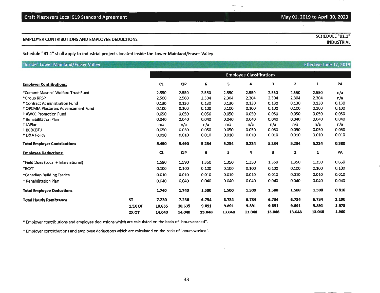| <b>Craft Plasterers Local 919 Standard Agreement</b> |  |
|------------------------------------------------------|--|
|------------------------------------------------------|--|

Schedule "B1.1" shall apply to. industrial projects located inside the Lower Mainland/Fraser Valley

| Inside" Lower Mainland/Fraser Valley      |                  |                                 |        |        |        |        |        |        | Effective June 17, 2019 |       |
|-------------------------------------------|------------------|---------------------------------|--------|--------|--------|--------|--------|--------|-------------------------|-------|
|                                           |                  | <b>Employee Classifications</b> |        |        |        |        |        |        |                         |       |
| <b>Employer Contributions:</b>            |                  | CL                              | CP     | 6      | 5      | 4      | 3      | 2      | $\mathbf{1}$            | PA    |
| *Cement Masons' Welfare Trust Fund        |                  | 2.550                           | 2.550  | 2.550  | 2.550  | 2.550  | 2.550  | 2.550  | 2.550                   | n/a   |
| *Group RRSP                               |                  | 2.560                           | 2.560  | 2.304  | 2.304  | 2.304  | 2,304  | 2,304  | 2.304                   | n/a   |
| <sup>†</sup> Contract Administration Fund |                  | 0.130                           | 0.130  | 0.130  | 0.130  | 0.130  | 0.130  | 0.130  | 0.130                   | 0.130 |
| † OPCMIA Plasterers Advancement Fund      |                  | 0.100                           | 0.100  | 0.100  | 0.100  | 0.100  | 0.100  | 0.100  | 0.100                   | 0.100 |
| <sup>t</sup> AWCC Promotion Fund          |                  | 0.050                           | 0.050  | 0.050  | 0.050  | 0.050  | 0.050  | 0.050  | 0.050                   | 0.050 |
| <sup>†</sup> Rehabilitation Plan          |                  | 0.040                           | 0.040  | 0.040  | 0.040  | 0.040  | 0.040  | 0.040  | 0.040                   | 0.040 |
| + JAPlan                                  |                  | n/a                             | n/a    | n/a    | n/a    | n/a    | n/a    | n/a    | n/a                     | n/a   |
| <b>† BCBCBTU</b>                          |                  | 0.050                           | 0.050  | 0.050  | 0.050  | 0.050  | 0.050  | 0.050  | 0.050                   | 0.050 |
| <sup>t</sup> D&A Policy                   |                  | 0.010                           | 0.010  | 0.010  | 0.010  | 0.010  | 0.010  | 0.010  | 0.010                   | 0.010 |
| <b>Total Employer Contributions</b>       |                  | 5.490                           | 5.490  | 5.234  | 5.234  | 5.234  | 5.234  | 5.234  | 5.234                   | 0.380 |
| <b>Employee Deductions:</b>               |                  | CL                              | CP     | 6      | 5      | 4      | 3      | 2      | $\mathbf{1}$            | PA    |
| *Field Dues (Local + International)       |                  | 1.590                           | 1.590  | 1.350  | 1.350  | 1.350  | 1.350  | 1.350  | 1.350                   | 0.660 |
| *BCYT                                     |                  | 0.100                           | 0.100  | 0.100  | 0.100  | 0.100  | 0.100  | 0.100  | 0.100                   | 0.100 |
| *Canadian Building Trades                 |                  | 0.010                           | 0.010  | 0.010  | 0.010  | 0.010  | 0.010  | 0.010  | 0.010                   | 0.010 |
| <sup>†</sup> Rehabilitation Plan          |                  | 0.040                           | 0.040  | 0.040  | 0.040  | 0.040  | 0.040  | 0.040  | 0.040                   | 0.040 |
| <b>Total Employee Deductions</b>          |                  | 1.740                           | 1.740  | 1.500  | 1.500  | 1.500  | 1.500  | 1.500  | 1.500                   | 0.810 |
| <b>Total Hourly Remittance</b>            | <b>ST</b>        | 7.230                           | 7.230  | 6.734  | 6.734  | 6.734  | 6.734  | 6.734  | 6.734                   | 1.190 |
|                                           | <b>1.5X OT</b>   | 10.635                          | 10.635 | 9.891  | 9.891  | 9.891  | 9.891  | 9.891  | 9.891                   | 1.575 |
|                                           | 2X <sub>OT</sub> | 14.040                          | 14.040 | 13.048 | 13.048 | 13.048 | 13.048 | 13.048 | 13.048                  | 1.960 |

 $\sim$ 

\* Employer contributions and employee deductions which are calculated on the basis of "hours earned".

t Employer contritbutions and employee deductions which are calculated on the basis of "hours worked".

## May 01, 2019 to April 30, 2023

SCHEDULE "B1.1" INDUSTRIAL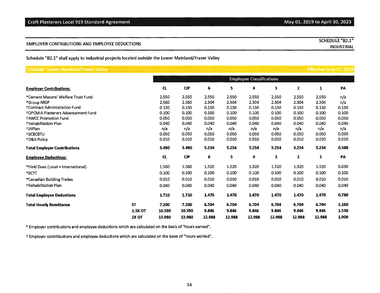|                                                | <b>SCHEDULE "B2.1"</b> |
|------------------------------------------------|------------------------|
| EMPLOYER CONTRIBUTIONS AND EMPLOYEE DEDUCTIONS | INDUSTRIAL             |
|                                                |                        |

Schedule "82.1" shall apply to industrial projects located outside the Lower Mainland/Fraser Valley

| 'Outside" Lower Mainland/Fraser Valley     |                |                                 |        |        |        |        |        |        | Effective June 17, 2019 |       |
|--------------------------------------------|----------------|---------------------------------|--------|--------|--------|--------|--------|--------|-------------------------|-------|
|                                            |                | <b>Employee Classifications</b> |        |        |        |        |        |        |                         |       |
| <b>Employer Contributions:</b>             |                | CL                              | CP     | 6      | 5      | 4      | 3      | 2      | 1                       | PA    |
| *Cement Masons' Welfare Trust Fund         |                | 2.550                           | 2.550  | 2.550  | 2.550  | 2.550  | 2.550  | 2.550  | 2.550                   | n/a   |
| *Group RRSP                                |                | 2.560                           | 2.560  | 2.304  | 2.304  | 2.304  | 2.304  | 2.304  | 2.304                   | n/a   |
| <b>†Contract Administration Fund</b>       |                | 0.130                           | 0.130  | 0.130  | 0.130  | 0.130  | 0.130  | 0.130  | 0.130                   | 0.130 |
| <b>TOPCMIA Plasterers Advancement Fund</b> |                | 0.100                           | 0.100  | 0.100  | 0.100  | 0.100  | 0.100  | 0,100  | 0.100                   | 0.100 |
| <b>†AWCC Promotion Fund</b>                |                | 0.050                           | 0.050  | 0.050  | 0.050  | 0.050  | 0.050  | 0.050  | 0.050                   | 0.050 |
| <b>+Rehabilitation Plan</b>                |                | 0.040                           | 0.040  | 0.040  | 0.040  | 0.040  | 0.040  | 0.040  | 0.040                   | 0.040 |
| <b>+JAPlan</b>                             |                | n/a                             | n/a    | n/a    | n/a    | n/a    | n/a    | n/a    | n/a                     | n/a   |
| <b>+BCBCBTU</b>                            |                | 0.050                           | 0.050  | 0.050  | 0.050  | 0.050  | 0.050  | 0.050  | 0.050                   | 0.050 |
| <b>+D&amp;A Policy</b>                     |                | 0.010                           | 0.010  | 0.010  | 0.010  | 0.010  | 0.010  | 0.010  | 0.010                   | 0.010 |
| <b>Total Employer Contributions</b>        |                | 5.490                           | 5.490  | 5.234  | 5.234  | 5.234  | 5.234  | 5.234  | 5.234                   | 0.380 |
| <b>Employee Deductions:</b>                |                | <b>CL</b>                       | CP     | 6      | 5      | 4      | 3      | 2      | 1                       | PA    |
| *Field Dues (Local + International)        |                | 1.560                           | 1.560  | 1.320  | 1.320  | 1.320  | 1.320  | 1.320  | 1.320                   | 0.630 |
| *BCYT                                      |                | 0.100                           | 0.100  | 0.100  | 0.100  | 0.100  | 0.100  | 0.100  | 0.100                   | 0.100 |
| *Canadian Building Trades                  |                | 0.010                           | 0.010  | 0.010  | 0.010  | 0.010  | 0.010  | 0.010  | 0.010                   | 0.010 |
| <b>+Rehabilitation Plan</b>                |                | 0.040                           | 0.040  | 0.040  | 0.040  | 0.040  | 0.040  | 0.040  | 0.040                   | 0.040 |
| <b>Total Employee Deductions</b>           |                | 1.710                           | 1.710  | 1.470  | 1.470  | 1.470  | 1.470  | 1.470  | 1.470                   | 0.780 |
| <b>Total Hourly Remittance</b>             | <b>ST</b>      | 7.200                           | 7.200  | 6.704  | 6.704  | 6.704  | 6.704  | 6.704  | 6.704                   | 1.160 |
|                                            | <b>1.5X OT</b> | 10.590                          | 10,590 | 9.846  | 9.846  | 9.846  | 9.846  | 9.846  | 9.846                   | 1.530 |
|                                            | 2X OT          | 13,980                          | 13.980 | 12.988 | 12,988 | 12,988 | 12.988 | 12.988 | 12.988                  | 1.900 |

\* Employer contributions and employee deductions which are calculated on the basis of "hours earned".

t Employer contritbutions and employee deductions which are calculated on the basis of "hours worked".

 $\Delta \sim 10^{11}$  km s  $^{-1}$ 

 $\sim 10^{-1}$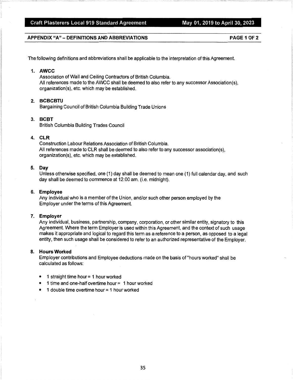#### **APPENDIX "A" - DEFINITIONS AND ABBREVIATIONS PAGE 1 Of 2**

The following definitions and abbreviations shall be applicable to the interpretation of this Agreement.

#### **1. AWCC**

Association of Wall and Ceiling Contractors of British Columbia. All references made to the AWCC shall be deemed to also refer to any successor Association(s), organization(s), etc. which may be established.

#### **2. BCBCBTU**

Bargaining Council of British Columbia Building Trade Unions

#### **3. BCBT**

British Columbia Building Trades Council

#### **4. CLR**

Construction Labour Relations Association of British Columbia. All references made to CLR shall be deemed to also refer to any successor association(s), organization(s), etc. which may be established.

#### **5. Day**

Unless otherwise specified, one (1) day shall be deemed to mean one (1) full calendar day, and such day shall be deemed to commence at 12:00 am. (i.e. midnight).

#### **6. Employee**

Any individual who is a member of the Union, and/or such other person employed by the Employer under the terms of this Agreement.

#### **7. Employer**

Any individual, business, partnership, company, corporation, or other similar entity, signatory to this Agreement. Where the term Employer is used within this Agreement, and the context of such usage makes it appropriate and logical to regard this term as a reference to a person, as opposed to a legal entity, then such usage shall be considered to refer to an authorized representative of the Employer.

#### **8. Hours Worked**

Employer contributions and Employee deductions made on the basis of "hours worked" shall be calculated as follows:

- $\bullet$  1 straight time hour = 1 hour worked
- 1 time and one-half overtime hour = 1 hour worked
- $\bullet$  1 double time overtime hour = 1 hour worked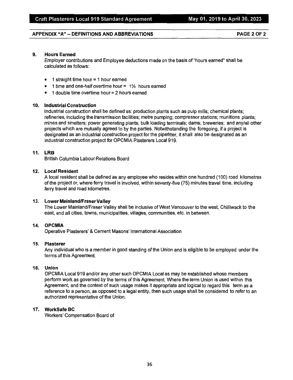#### **APPENDIX "A"** - **DEFINITIONS AND ABBREVIATIONS PAGE 2 OF 2**

#### **9. Hours Earned**

Employer contributions and Employee deductions made on the basis of "hours earned" shall be calculated as follows:

- $\bullet$  1 straight time hour = 1 hour earned
- 1 time and one-half overtime hour =  $1\frac{1}{2}$  hours earned
- 1 double time overtime hour= 2 hours earned

#### **10. Industrial Construction**

Industrial construction shall be defined as: production plants such as pulp mills; chemical plants; refineries, including the transmission facilities; metre pumping; compressor stations; munitions plants; mines and smelters; power generating plants; bulk loading terminals; dams; breweries; and any/all other projects which are mutually agreed to by the parties. Notwithstanding the foregoing, if a project is designated as an industrial construction project for the pipefitter, it shall also be designated as an industrial construction project for OPCMIA Plasterers Local 919.

#### **11. LRB**

British Columbia Labour Relations Board

#### **12. Local Resident**

A local resident shall be defined as any employee who resides within one hundred ( 100) road kilometres of the project or, where ferry travel is involved, within seventy-five (75) minutes travel time, including ferry travel and road kilometres.

#### **13. Lower Mainland/Fraser Valley**

The Lower Mainland/Fraser Valley shall be inclusive of West Vancouver to the west, Chilliwack to the east, and all cities, towns, municipalities, villages, communities, etc. in between.

#### **14. OPCMIA**

Operative Plasterers' & Cement Masons' International Association

#### **15. Plasterer**

Any individual who is a member in good standing of the Union and is eligible to be employed under the terms of this Agreement.

#### **16. Union**

OPCMIA Local 919 and/or any other such OPCMIA Local as may be established whose members perform work as governed by the terms of this Agreement. Where the term Union is used within this Agreement, and the context of such usage makes it appropriate and logical to regard this term as a reference to a person, as opposed to a legal entity, then such usage shall be considered to refer to an authorized representative of the Union.

#### **17. WorkSafe BC**

Workers' Compensation Board of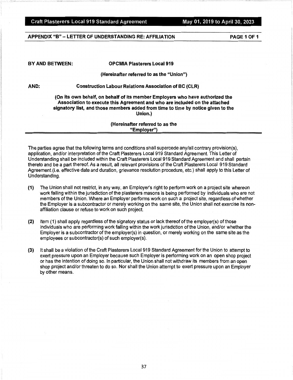#### **APPENDIX "B"** - **LETTER OF UNDERSTANDING RE: AFFILIATION PAGE 1 OF 1**

**BY AND BETWEEN: OPCMIA Plasterers Local 919** 

#### **(Hereinafter referred to as the "Union")**

**AND: Construction Labour Relations Association of BC (CLR)** 

**(On its own behalf, on behalf of its member Employers who have authorized the Association to execute this Agreement and who are included on the attached signatory list, and those members added from time to time by notice given to the Union.)** 

#### **(Hereinafter referred to as the "Employer")**

The parties agree that the following terms and conditions shall supercede any/all contrary provision(s), application, and/or interpretation of the Craft Plasterers Local 919 Standard Agreement. This Letter of Understanding shall be included within the Craft Plasterers Local 919 Standard Agreement and shall pertain thereto and be a part thereof. As a result, all relevant provisions of the Craft Plasterers Local 919 Standard Agreement (i.e. effective date and duration, grievance resolution procedure, etc.) shall apply to this Letter of Understanding.

- **(1)** The Union shall not restrict, in any way, an Employer's right to perform work on a project site whereon work falling within the jurisdiction of the plasterers masons is being performed by individuals who are not members of the Union. Where an Employer performs work on such a project site, regardless of whether the Employer is a subcontractor or merely working on the same site, the Union shall not exercise its nonaffiliation clause or refuse to work on such project.
- **(2)** Item (1) shall apply regardless of the signatory status or lack thereof of the employer(s) of those individuals who are performing work falling within the work jurisdiction of the Union, and/or whether the Employer is a subcontractor of the employer(s) in question, or merely working on the same site as the employees or subcontractor(s) of such employer(s).
- **(3)** It shall be a violation of the Craft Plasterers Local 919 Standard Agreement for the Union to attempt to exert pressure upon an Employer because such Employer is performing work on an open shop project or has the intention of doing so. In particular, the Union shall not withdraw its members from an open shop project and/or threaten to do so. Nor shall the Union attempt to exert pressure upon an Employer by other means.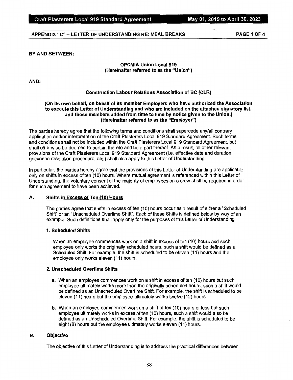#### **APPENDIX "C"** - **LETTER OF UNDERSTANDING RE: MEAL BREAKS PAGE 1 OF4**

#### **BY AND BETWEEN:**

#### **OPCMIA Union Local 919 (Hereinafter referred to as the "Union")**

**AND:** 

#### **Construction Labour Relations Association of BC (CLR)**

#### **(On its own behalf, on behalf of its member Employers who have authorized the Association to execute this Letter of Understanding and who are included on the attached signatory list, and those members added from time to time by notice given to the Union.) (Hereinafter referred to as the "Employer")**

The parties hereby agree that the following terms and conditions shall supercede any/all contrary application and/or interpretation of the Craft Plasterers Local 919 Standard Agreement. Such terms and conditions shall not be included within the Craft Plasterers Local 919 Standard Agreement, but shall otherwise be deemed to pertain thereto and be a part thereof. As a result, all other relevant provisions of the Craft Plasterers Local 919 Standard Agreement (i.e. effective date and duration, grievance resolution procedure, etc.) shall also apply to this Letter of Understanding.

In particular, the parties hereby agree that the provisions of this Letter of Understanding are applicable only on shifts in excess of ten (10) hours. Where mutual agreement is referenced within this Letter of Understanding, the voluntary consent of the majority of employees on a crew shall be required in order for such agreement to have been achieved.

#### **A. Shifts in Excess of Ten {10} Hours**

The parties agree that shifts in excess of ten (10) hours occur as a result of either a "Scheduled Shift" or an "Unscheduled Overtime Shift". Each of these Shifts is defined below by way of an example. Such definitions shall apply only for the purposes of this Letter of Understanding.

#### **1. Scheduled Shifts**

When an employee commences work on a shift in excess of ten (10) hours and such employee only works the originally scheduled hours, such a shift would be defined as a Scheduled Shift. For example, the shift is scheduled to be eleven (11) hours and the employee only works eleven (11) hours.

#### **2. Unscheduled Overtime Shifts**

- **a.** When an employee commences work on a shift in excess of ten (10) hours but such employee ultimately works more than the originally scheduled hours, such a shift would be defined as an Unscheduled Overtime Shift. For example, the shift is scheduled to be eleven (11) hours but the employee ultimately works twelve (12) hours.
- **b.** When an employee commences work on a shift of ten (10) hours or less but such employee ultimately works in excess of ten (10) hours, such a shift would also be defined as an Unscheduled Overtime Shift. For example, the shift is scheduled to be eight (8) hours but the employee ultimately works eleven (11) hours.

#### **B. Objective**

The objective of this Letter of Understanding is to address the practical differences between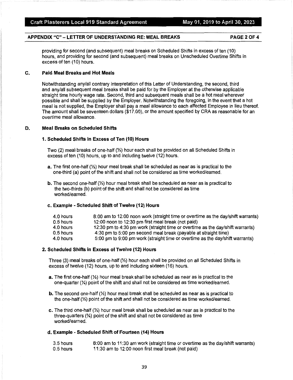### **APPENDIX "C"** - **LETTER OF UNDERSTANDING RE: MEAL BREAKS PAGE2OF4**

providing for second (and subsequent) meal breaks on Scheduled Shifts in excess of ten (10) hours, and providing for second (and subsequent) meal breaks on Unscheduled Overtime Shifts in excess of ten (10) hours.

#### **C. Paid Meal Breaks and Hot Meals**

Notwithstanding any/all contrary interpretation of this Letter of Understanding, the second, third and any/all subsequent meal breaks shall be paid for by the Employer at the otherwise applicable straight time hourly wage rate. Second, third and subsequent meals shall be a hot meal wherever possible and shall be supplied by the Employer. Notwithstanding the foregoing, in the event that a hot meal is not supplied, the Employer shall pay a meal allowance to each affected Employee in lieu thereof. The amount shall be seventeen dollars (\$17.00), or the amount specified by CRA as reasonable for an overtime meal allowance.

#### **D. Meal Breaks on Scheduled Shifts**

#### **1. Scheduled Shifts In Excess of Ten (10) Hours**

Two (2) meal breaks of one-half  $\mathcal{V}_2$ ) hour each shall be provided on all Scheduled Shifts in excess of ten (10) hours, up to and including twelve (12) hours.

- **a.** The first one-half(½) hour meal break shall be scheduled as near as is practical to the one-third (a) point of the shift and shall not be considered as time worked/earned.
- **b.** The second one-half (1/2) hour meal break shall be scheduled as near as is practical to the two-thirds (b) point of the shift and shall not be considered as time worked/earned.

#### **c. Example** - **Scheduled Shift of Twelve (12) Hours**

| 4.0 hours   | 8:00 am to 12:00 noon work (straight time or overtime as the day/shift warrants) |
|-------------|----------------------------------------------------------------------------------|
| $0.5$ hours | 12:00 noon to 12:30 pm first meal break (not paid)                               |
| 4.0 hours   | 12:30 pm to 4:30 pm work (straight time or overtime as the day/shift warrants)   |
| $0.5$ hours | 4:30 pm to 5:00 pm second meal break (payable at straight time)                  |
| 4.0 hours   | 5:00 pm to 9:00 pm work (straight time or overtime as the day/shift warrants)    |

#### **2. Scheduled Shifts in Excess of Twelve (12) Hours**

Three (3) meal breaks of one-half(½) hour each shall be provided on all Scheduled Shifts in excess of twelve (12) hours, up to and including sixteen (16) hours.

- **a.** The first one-half(½) hour meal break shall be scheduled as near as is practical to the one-quarter (¼) point of the shift and shall not be considered as time worked/earned.
- **b.** The second one-half (½) hour meal break shall be scheduled as near as is practical to the one-half(½) point of the shift and shall not be considered as time worked/earned.
- **c.** The third one-half (½) hour meal break shall be scheduled as near as is practical to the three-quarters (¾) point of the shift and shall not be considered as time worked/earned.

#### **d. Example** - **Scheduled Shift of Fourteen (14) Hours**

| 3.5 hours | 8:00 am to 11:30 am work (straight time or overtime as the day/shift warrants) |
|-----------|--------------------------------------------------------------------------------|
| 0.5 hours | 11:30 am to 12:00 noon first meal break (not paid)                             |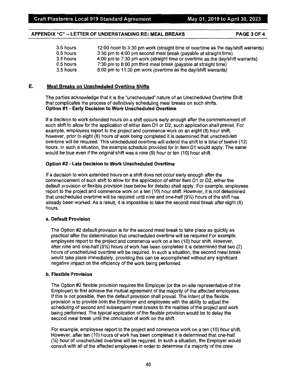#### **APPENDIX "C"** - **LETTER OF UNDERSTANDING RE: MEAL BREAKS PAGE 3 OF 4**

| 3.5 hours | 12:00 noon to 3:30 pm work (straight time or overtime as the day/shift warrants) |
|-----------|----------------------------------------------------------------------------------|
| 0.5 hours | 3:30 pm to 4:00 pm second meal break (payable at straight time)                  |
| 3.5 hours | 4:00 pm to 7:30 pm work (straight time or overtime as the day/shift warrants)    |
| 0.5 hours | 7:30 pm to 8:00 pm third meal break (payable at straight time)                   |
| 3.5 hours | 8:00 pm to 11:30 pm work (overtime as the day/shift warrants)                    |

#### E. **Meal Breaks on Unscheduled Overtime Shifts**

The parties acknowledge that it is the "unscheduled" nature of an Unscheduled Overtime Shift that complicates the process of definitively scheduling meal breaks on such shifts. **Option #1** - **Early Decision to Work Unscheduled Overtime** 

If a decision to work extended hours on a shift occurs early enough after the commencement of such shift to allow for the application of either item D1 or D2, such application shall prevail. For example, employees report to the project and commence work on an eight (8) hour shift, however, prior to eight (8) hours of work being completed it is determined that unscheduled overtime will be required. This unscheduled overtime will extend the shift to a total of twelve (12) hours. In such a situation, the example schedule provided for in item D1 would apply. The same would be true even if the original shift was a nine (9) hour or ten (10) hour shift.

#### **Option #2** - **Late Decision to Work Unscheduled Overtime**

If a decision to work extended hours on a shift does not occur early enough after the commencement of such shift to allow for the application of either item D1 or D2, either the default provision or flexible provision (see below for details) shall apply. For example, employees report to the project and commence work on a ten (10) hour shift. However, it is not determined that unscheduled overtime will be required until nine and one-half (9½) hours of the shift has already been worked. As a result, it is impossible to take the second meal break after eight (8) hours.

#### **a. Default Provision**

The Option #2 default provision is for the second meal break to take place as quickly as practical after the determination that unscheduled overtime will be required For example, employees report to the project and commence work on a ten (10) hour shift. However, after nine and one-half (9½) hours of work has been completed it is determined that two (2) hours of unscheduled overtime will be required. In such a situation, the second meal break would take place immediately, providing this can be accomplished without any significant negative impact on the efficiency of the work being performed.

#### **b. Flexible Provision**

The Option #2 flexible provision requires the Employer (or the on-site representative of the Employer) to first achieve the mutual agreement of the majority of the affected employees. If this is not possible, then the default provision shall prevail. The intent of the flexible provision is to provide both the Employer and employees with the ability to adjust the scheduling of second and subsequent meal breaks to the realities of the project and work being performed. The typical application of the flexible provision would be to delay the second meal break until the conclusion of work on the shift.

For example, employees report to the project and commence work on a ten (10) hour shift. However, after ten (10) hours of work has been completed it is determined that one-half (½) hour of unscheduled overtime will be required. In such a situation, the Employer would consult with all of the affected employees in order to determine if a majority of the crew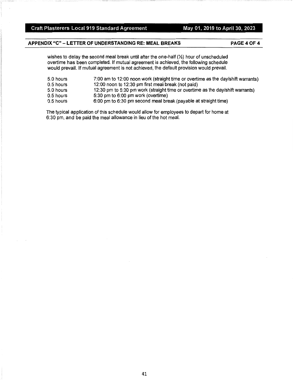#### Craft Plasterers Local 919 Standard Agreement May 01, 2019 to April 30, 2023

### **APPENDIX "C"** - **LETTER OF UNDERSTANDING RE: MEAL BREAKS**

**PAGE40F4** 

wishes to delay the second meal break until after the one-half(½) hour of unscheduled overtime has been completed. If mutual agreement is achieved, the following schedule would prevail. If mutual agreement is not achieved, the default provision would prevail.

| 5.0 hours   | 7:00 am to 12:00 noon work (straight time or overtime as the day/shift warrants) |
|-------------|----------------------------------------------------------------------------------|
| $0.5$ hours | 12:00 noon to 12:30 pm first meal break (not paid)                               |
| 5.0 hours   | 12:30 pm to 5:30 pm work (straight time or overtime as the day/shift warrants)   |
| 0.5 hours   | $5:30$ pm to $6:00$ pm work (overtime)                                           |
| 0.5 hours   | 6:00 pm to 6:30 pm second meal break (payable at straight time)                  |

The typical application of this schedule would allow for employees to depart for home at 6:30 pm, and be paid the meal allowance in lieu of the hot meal.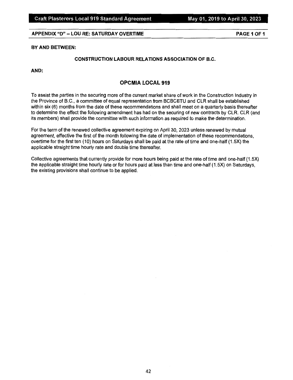#### **APPENDIX "D"** - **LOU RE: SATURDAY OVERTIME PAGE 1 OF 1**

PAGE 1 OF 1

#### **BY AND BETWEEN:**

#### **CONSTRUCTION LABOUR RELATIONS ASSOCIATION OF B.C.**

**AND:** 

#### **OPCMIA LOCAL 919**

To assist the parties in the securing more of the current market share of work in the Construction Industry in the Province of B.C., a committee of equal representation from BCBCBTU and CLR shall be established within six (6) months from the date of these recommendations and shall meet on a quarterly basis thereafter to determine the effect the following amendment has had on the securing of new contracts by CLR. CLR (and its members) shall provide the committee with such information as required to make the determination.

For the term of the renewed collective agreement expiring on April 30, 2023 unless renewed by mutual agreement, effective the first of the month following the date of implementation of these recommendations, overtime for the first ten (10) hours on Saturdays shall be paid at the rate of time and one-half (1.5X) the applicable straight time hourly rate and double time thereafter.

Collective agreements that currently provide for more hours being paid at the rate of time and one-half (1.5X) the applicable straight time hourly rate or for hours paid at less than time and one-half (1.5X) on Saturdays, the existing provisions shall continue to be applied.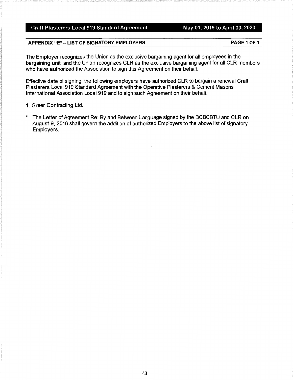### Craft Plasterers Local 919 Standard Agreement May 01, 2019 to April 30, 2023

#### **APPENDIX "E"** - **LIST OF SIGNATORY EMPLOYERS PAGE 1 OF 1**

The Employer recognizes the Union as the exclusive bargaining agent for all employees in the bargaining unit, and the Union recognizes CLR as the exclusive bargaining agent for all CLR members who have authorized the Association to sign this Agreement on their behalf.

Effective date of signing, the following employers have authorized CLR to bargain a renewal Craft Plasterers Local 919 Standard Agreement with the Operative Plasterers & Cement Masons International Association Local 919 and to sign such Agreement on their behalf.

- 1. Greer Contracting Ltd.
- \* The Letter of Agreement Re: By and Between Language signed by the BCBCBTU and CLR on August 9, 2016 shall govern the addition of authorized Employers to the above list of signatory Employers.